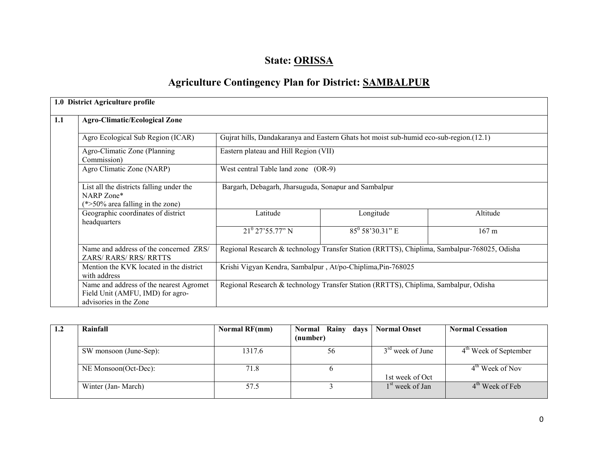# State: ORISSA

# Agriculture Contingency Plan for District: SAMBALPUR

|     | 1.0 District Agriculture profile                                                                      |                                                             |                                                                                             |                 |  |  |  |  |
|-----|-------------------------------------------------------------------------------------------------------|-------------------------------------------------------------|---------------------------------------------------------------------------------------------|-----------------|--|--|--|--|
| 1.1 | <b>Agro-Climatic/Ecological Zone</b>                                                                  |                                                             |                                                                                             |                 |  |  |  |  |
|     | Agro Ecological Sub Region (ICAR)                                                                     |                                                             | Gujrat hills, Dandakaranya and Eastern Ghats hot moist sub-humid eco-sub-region.(12.1)      |                 |  |  |  |  |
|     |                                                                                                       |                                                             |                                                                                             |                 |  |  |  |  |
|     |                                                                                                       |                                                             |                                                                                             |                 |  |  |  |  |
|     | List all the districts falling under the<br>NARP Zone*<br>$(*>50\%$ area falling in the zone)         | Bargarh, Debagarh, Jharsuguda, Sonapur and Sambalpur        |                                                                                             |                 |  |  |  |  |
|     | Geographic coordinates of district<br>headquarters                                                    | Latitude                                                    | Longitude                                                                                   | Altitude        |  |  |  |  |
|     |                                                                                                       | $21^{\circ}$ 27'55.77" N                                    | $85^{\circ}$ 58'30.31" E                                                                    | $167 \text{ m}$ |  |  |  |  |
|     | Name and address of the concerned ZRS/<br><b>ZARS/RARS/RRS/RRTTS</b>                                  |                                                             | Regional Research & technology Transfer Station (RRTTS), Chiplima, Sambalpur-768025, Odisha |                 |  |  |  |  |
|     | Mention the KVK located in the district<br>with address                                               | Krishi Vigyan Kendra, Sambalpur, At/po-Chiplima, Pin-768025 |                                                                                             |                 |  |  |  |  |
|     | Name and address of the nearest Agromet<br>Field Unit (AMFU, IMD) for agro-<br>advisories in the Zone |                                                             | Regional Research & technology Transfer Station (RRTTS), Chiplima, Sambalpur, Odisha        |                 |  |  |  |  |

| 1.2 | Rainfall               | Normal RF(mm) | Normal Rainy days<br>(number) | <b>Normal Onset</b>         | <b>Normal Cessation</b> |
|-----|------------------------|---------------|-------------------------------|-----------------------------|-------------------------|
|     | SW monsoon (June-Sep): | 1317.6        | 56                            | $3rd$ week of June          | $4th$ Week of September |
|     | NE Monsoon(Oct-Dec):   | 71.8          | O                             | 1st week of Oct             | $4th$ Week of Nov       |
|     | Winter (Jan-March)     | 57.5          |                               | 1 <sup>st</sup> week of Jan | $4th$ Week of Feb       |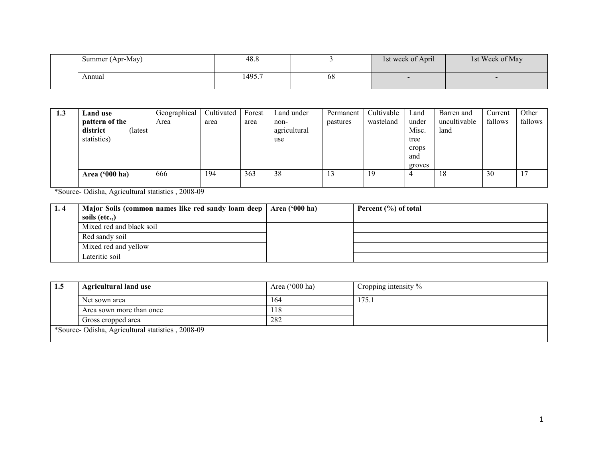| Summer (Apr-May) | 48.8   |    | 1st week of April | 1st Week of May |
|------------------|--------|----|-------------------|-----------------|
| Annual           | 1495.7 | 68 |                   |                 |

| 1.3 | <b>Land use</b>  |         | Geographical | Cultivated | Forest | Land under   | Permanent | Cultivable | Land   | Barren and   | Current | Other   |
|-----|------------------|---------|--------------|------------|--------|--------------|-----------|------------|--------|--------------|---------|---------|
|     | pattern of the   |         | Area         | area       | area   | non-         | pastures  | wasteland  | under  | uncultivable | fallows | fallows |
|     | district         | (latest |              |            |        | agricultural |           |            | Misc.  | land         |         |         |
|     | statistics)      |         |              |            |        | use          |           |            | tree   |              |         |         |
|     |                  |         |              |            |        |              |           |            | crops  |              |         |         |
|     |                  |         |              |            |        |              |           |            | and    |              |         |         |
|     |                  |         |              |            |        |              |           |            | groves |              |         |         |
|     | Area $('000 ha)$ |         | 666          | 194        | 363    | 38           | 13        | 19         |        | 18           | 30      | 17      |
|     |                  |         |              |            |        |              |           |            |        |              |         |         |

\*Source- Odisha, Agricultural statistics , 2008-09

| 1.4 | Major Soils (common names like red sandy loam deep | Area $('000 ha)$ | Percent (%) of total |
|-----|----------------------------------------------------|------------------|----------------------|
|     | soils (etc)                                        |                  |                      |
|     | Mixed red and black soil                           |                  |                      |
|     | Red sandy soil                                     |                  |                      |
|     | Mixed red and yellow                               |                  |                      |
|     | Lateritic soil                                     |                  |                      |

| 1.5 | <b>Agricultural land use</b>                     | Area $('000 ha)$ | Cropping intensity $\%$ |
|-----|--------------------------------------------------|------------------|-------------------------|
|     | Net sown area                                    | 164              | 175.1                   |
|     | Area sown more than once                         | 118              |                         |
|     | Gross cropped area                               | 282              |                         |
|     | *Source-Odisha, Agricultural statistics, 2008-09 |                  |                         |
|     |                                                  |                  |                         |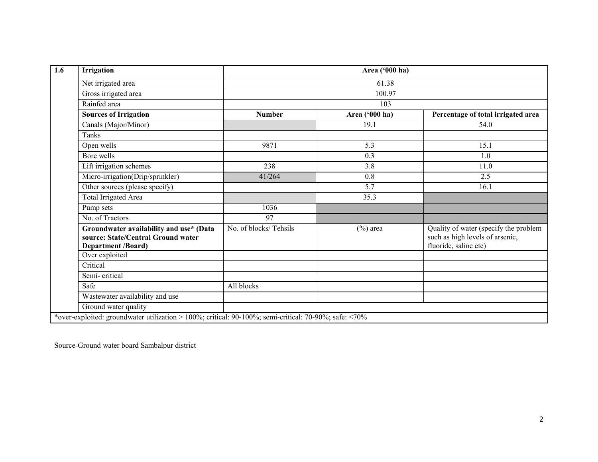| Irrigation                                                                                                 |                       | Area ('000 ha) |                                                                                                   |  |  |  |  |  |
|------------------------------------------------------------------------------------------------------------|-----------------------|----------------|---------------------------------------------------------------------------------------------------|--|--|--|--|--|
| Net irrigated area                                                                                         |                       | 61.38          |                                                                                                   |  |  |  |  |  |
| Gross irrigated area                                                                                       | 100.97                |                |                                                                                                   |  |  |  |  |  |
| Rainfed area                                                                                               |                       | 103            |                                                                                                   |  |  |  |  |  |
| <b>Sources of Irrigation</b>                                                                               | <b>Number</b>         | Area ('000 ha) | Percentage of total irrigated area                                                                |  |  |  |  |  |
| Canals (Major/Minor)                                                                                       |                       | 19.1           | 54.0                                                                                              |  |  |  |  |  |
| Tanks                                                                                                      |                       |                |                                                                                                   |  |  |  |  |  |
| Open wells                                                                                                 | 9871                  | 5.3            | 15.1                                                                                              |  |  |  |  |  |
| Bore wells                                                                                                 |                       | 0.3            | 1.0                                                                                               |  |  |  |  |  |
| Lift irrigation schemes                                                                                    | 238                   | 3.8            | 11.0                                                                                              |  |  |  |  |  |
| Micro-irrigation(Drip/sprinkler)                                                                           | 41/264                | 0.8            | 2.5                                                                                               |  |  |  |  |  |
| Other sources (please specify)                                                                             |                       | 5.7            | 16.1                                                                                              |  |  |  |  |  |
| Total Irrigated Area                                                                                       |                       | 35.3           |                                                                                                   |  |  |  |  |  |
| Pump sets                                                                                                  | 1036                  |                |                                                                                                   |  |  |  |  |  |
| No. of Tractors                                                                                            | 97                    |                |                                                                                                   |  |  |  |  |  |
| Groundwater availability and use* (Data<br>source: State/Central Ground water<br><b>Department /Board)</b> | No. of blocks/Tehsils | $(\%)$ area    | Quality of water (specify the problem<br>such as high levels of arsenic,<br>fluoride, saline etc) |  |  |  |  |  |
| Over exploited                                                                                             |                       |                |                                                                                                   |  |  |  |  |  |
| Critical                                                                                                   |                       |                |                                                                                                   |  |  |  |  |  |
| Semi-critical                                                                                              |                       |                |                                                                                                   |  |  |  |  |  |
| Safe                                                                                                       | All blocks            |                |                                                                                                   |  |  |  |  |  |
| Wastewater availability and use                                                                            |                       |                |                                                                                                   |  |  |  |  |  |
| Ground water quality                                                                                       |                       |                |                                                                                                   |  |  |  |  |  |

Source-Ground water board Sambalpur district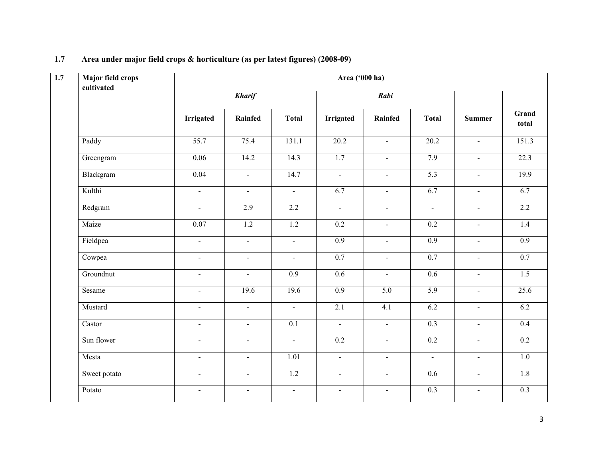| Major field crops<br>cultivated |                  |                             |                  | Area ('000 ha)              |                          |                  |                             |                  |
|---------------------------------|------------------|-----------------------------|------------------|-----------------------------|--------------------------|------------------|-----------------------------|------------------|
|                                 |                  | <b>Kharif</b>               |                  |                             | Rabi                     |                  |                             |                  |
|                                 | <b>Irrigated</b> | Rainfed                     | <b>Total</b>     | <b>Irrigated</b>            | Rainfed                  | <b>Total</b>     | <b>Summer</b>               | Grand<br>total   |
| Paddy                           | 55.7             | 75.4                        | 131.1            | 20.2                        | $\mathbf{r}$             | 20.2             | $\sim$                      | 151.3            |
| Greengram                       | 0.06             | 14.2                        | 14.3             | 1.7                         | $\blacksquare$           | 7.9              | $\sim$                      | 22.3             |
| Blackgram                       | 0.04             | $\blacksquare$              | 14.7             | $\sim$                      | $\sim$                   | 5.3              | $\sim$                      | 19.9             |
| Kulthi                          | $\blacksquare$   | $\blacksquare$              | $\blacksquare$   | 6.7                         | $\blacksquare$           | 6.7              | $\blacksquare$              | 6.7              |
| Redgram                         | $\mathbf{r}$     | 2.9                         | $\overline{2.2}$ | $\sim$                      | $\overline{\phantom{0}}$ | $\mathbf{r}$     | $\sim$                      | 2.2              |
| Maize                           | 0.07             | 1.2                         | 1.2              | 0.2                         | $\blacksquare$           | 0.2              | $\sim$                      | 1.4              |
| Fieldpea                        | $\blacksquare$   | $\mathcal{L}_{\mathcal{A}}$ | $\equiv$         | 0.9                         | $\sim$                   | 0.9              | $\sim$                      | 0.9              |
| Cowpea                          | $\blacksquare$   | $\sim$                      | $\blacksquare$   | 0.7                         | $\blacksquare$           | 0.7              | $\blacksquare$              | 0.7              |
| Groundnut                       | $\blacksquare$   | $\blacksquare$              | 0.9              | 0.6                         | $\blacksquare$           | 0.6              | $\mathbf{r}$                | 1.5              |
| Sesame                          | $\overline{a}$   | 19.6                        | 19.6             | 0.9                         | 5.0                      | 5.9              | $\mathbf{r}$                | 25.6             |
| Mustard                         | $\blacksquare$   | $\mathbf{u}$                | $\mathbf{r}$     | 2.1                         | 4.1                      | 6.2              | $\mathcal{L}^{\mathcal{L}}$ | 6.2              |
| Castor                          | $\mathbf{r}$     | $\mathbf{r}$                | 0.1              | $\omega$                    | $\mathbf{r}$             | 0.3              | $\sim$                      | 0.4              |
| Sun flower                      | $\blacksquare$   | $\sim$                      | $\blacksquare$   | 0.2                         | $\blacksquare$           | 0.2              | $\sim$                      | 0.2              |
| Mesta                           | $\overline{a}$   | $\sim$                      | 1.01             | $\mathcal{L}^{\mathcal{L}}$ | $\blacksquare$           | $\omega$         | $\sim$                      | 1.0              |
| Sweet potato                    | $\blacksquare$   | $\sim$                      | $\overline{1.2}$ | $\sim$                      | $\blacksquare$           | 0.6              | $\mathbf{u}$                | 1.8              |
| Potato                          | $\blacksquare$   | $\sim$                      | $\sim$           | $\sim$                      | $\sim$                   | $\overline{0.3}$ | $\sim$                      | $\overline{0.3}$ |

#### 1.7 Area under major field crops & horticulture (as per latest figures) (2008-09)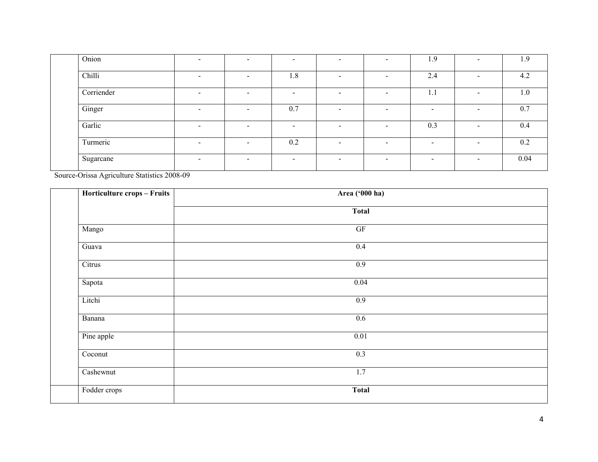| Onion      | $\overline{\phantom{0}}$ | $\overline{\phantom{0}}$ | $\overline{\phantom{0}}$ | $\overline{\phantom{0}}$ | $\overline{\phantom{a}}$ | 1.9                      | $\sim$                   | 1.9  |
|------------|--------------------------|--------------------------|--------------------------|--------------------------|--------------------------|--------------------------|--------------------------|------|
| Chilli     | $\overline{\phantom{a}}$ | $\overline{\phantom{0}}$ | 1.8                      | $\overline{\phantom{0}}$ | $\sim$                   | 2.4                      | $\sim$                   | 4.2  |
| Corriender | $\,$                     |                          |                          | $\,$                     | $\,$                     | 1.1                      | $\,$                     | 1.0  |
| Ginger     | $\overline{\phantom{0}}$ |                          | 0.7                      | $\overline{\phantom{a}}$ | $\sim$                   | $\overline{\phantom{0}}$ | $\sim$                   | 0.7  |
| Garlic     | $\,$                     | $\overline{\phantom{0}}$ | $\overline{\phantom{0}}$ | $\overline{\phantom{0}}$ | $\overline{\phantom{a}}$ | 0.3                      | $\overline{\phantom{0}}$ | 0.4  |
| Turmeric   | $\sim$                   |                          | 0.2                      | $\overline{\phantom{a}}$ | $\sim$                   | $\,$                     | $\sim$                   | 0.2  |
| Sugarcane  | $\sim$                   | $\overline{\phantom{a}}$ | $\sim$                   | $\overline{\phantom{a}}$ | $\sim$                   | $\,$                     | $\sim$                   | 0.04 |

Source-Orissa Agriculture Statistics 2008-09

| Horticulture crops - Fruits | Area ('000 ha)      |  |
|-----------------------------|---------------------|--|
|                             | <b>Total</b>        |  |
| Mango                       | $\operatorname{GF}$ |  |
| Guava                       | 0.4                 |  |
| Citrus                      | 0.9                 |  |
| Sapota                      | 0.04                |  |
| Litchi                      | 0.9                 |  |
| Banana                      | 0.6                 |  |
| Pine apple                  | 0.01                |  |
| Coconut                     | 0.3                 |  |
| Cashewnut                   | 1.7                 |  |
| Fodder crops                | <b>Total</b>        |  |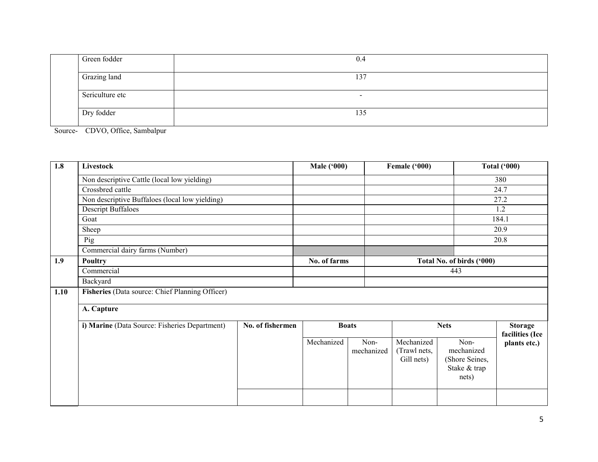| Green fodder    | 0.4                      |
|-----------------|--------------------------|
| Grazing land    | 137                      |
| Sericulture etc | $\overline{\phantom{0}}$ |
| Dry fodder      | 135                      |

Source- CDVO, Office, Sambalpur

| 1.8  | Livestock                                       |                  | <b>Male ('000)</b> |                    | Female ('000)                            |                                                               | <b>Total ('000)</b>               |
|------|-------------------------------------------------|------------------|--------------------|--------------------|------------------------------------------|---------------------------------------------------------------|-----------------------------------|
|      | Non descriptive Cattle (local low yielding)     |                  |                    |                    |                                          |                                                               | 380                               |
|      | Crossbred cattle                                |                  |                    |                    |                                          |                                                               | 24.7                              |
|      | Non descriptive Buffaloes (local low yielding)  |                  |                    |                    |                                          |                                                               | 27.2                              |
|      | <b>Descript Buffaloes</b>                       |                  |                    |                    |                                          |                                                               | 1.2                               |
|      | Goat                                            |                  |                    |                    |                                          |                                                               | 184.1                             |
|      | Sheep                                           |                  |                    |                    |                                          |                                                               | 20.9                              |
|      | Pig                                             |                  |                    |                    |                                          |                                                               | 20.8                              |
|      | Commercial dairy farms (Number)                 |                  |                    |                    |                                          |                                                               |                                   |
| 1.9  | Poultry                                         |                  | No. of farms       |                    |                                          | Total No. of birds ('000)                                     |                                   |
|      | Commercial                                      |                  |                    |                    |                                          | 443                                                           |                                   |
|      | Backyard                                        |                  |                    |                    |                                          |                                                               |                                   |
| 1.10 | Fisheries (Data source: Chief Planning Officer) |                  |                    |                    |                                          |                                                               |                                   |
|      | A. Capture                                      |                  |                    |                    |                                          |                                                               |                                   |
|      | i) Marine (Data Source: Fisheries Department)   | No. of fishermen | <b>Boats</b>       |                    | <b>Nets</b>                              |                                                               | <b>Storage</b><br>facilities (Ice |
|      |                                                 |                  | Mechanized         | Non-<br>mechanized | Mechanized<br>(Trawl nets,<br>Gill nets) | Non-<br>mechanized<br>(Shore Seines,<br>Stake & trap<br>nets) | plants etc.)                      |
|      |                                                 |                  |                    |                    |                                          |                                                               |                                   |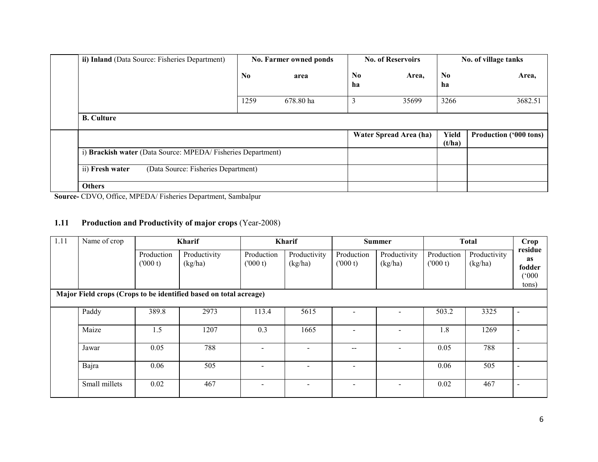| ii) Inland (Data Source: Fisheries Department)                                               | No. Farmer owned ponds |           | <b>No. of Reservoirs</b> |                        | No. of village tanks |                               |
|----------------------------------------------------------------------------------------------|------------------------|-----------|--------------------------|------------------------|----------------------|-------------------------------|
|                                                                                              | $\bf No$               | area      | N <sub>0</sub><br>ha     | Area,                  | N <sub>0</sub><br>ha | Area,                         |
|                                                                                              | 1259                   | 678.80 ha | 3                        | 35699                  | 3266                 | 3682.51                       |
| <b>B.</b> Culture                                                                            |                        |           |                          |                        |                      |                               |
|                                                                                              |                        |           |                          | Water Spread Area (ha) | Yield<br>(t/ha)      | <b>Production ('000 tons)</b> |
| i) Brackish water (Data Source: MPEDA/Fisheries Department)                                  |                        |           |                          |                        |                      |                               |
| (Data Source: Fisheries Department)<br>ii) Fresh water                                       |                        |           |                          |                        |                      |                               |
| <b>Others</b><br>$\frac{1}{2}$<br>$G_{\text{D}}$ $\mathbf{r}$ $\mathbf{r}$ $\alpha$ $\alpha$ |                        |           |                          |                        |                      |                               |

Source- CDVO, Office, MPEDA/ Fisheries Department, Sambalpur

#### 1.11 Production and Productivity of major crops (Year-2008)

| 1.11 | Name of crop  |                       | <b>Kharif</b>                                                     |                          | <b>Kharif</b>           |                          | <b>Summer</b>           |                       | <b>Total</b>            | Crop                                                |
|------|---------------|-----------------------|-------------------------------------------------------------------|--------------------------|-------------------------|--------------------------|-------------------------|-----------------------|-------------------------|-----------------------------------------------------|
|      |               | Production<br>(000 t) | Productivity<br>(kg/ha)                                           | Production<br>(000 t)    | Productivity<br>(kg/ha) | Production<br>(000 t)    | Productivity<br>(kg/ha) | Production<br>(000 t) | Productivity<br>(kg/ha) | residue<br>as<br>fodder<br>$(000^{\circ})$<br>tons) |
|      |               |                       | Major Field crops (Crops to be identified based on total acreage) |                          |                         |                          |                         |                       |                         |                                                     |
|      | Paddy         | 389.8                 | 2973                                                              | 113.4                    | 5615                    |                          |                         | 503.2                 | 3325                    | $\sim$                                              |
|      | Maize         | 1.5                   | 1207                                                              | 0.3                      | 1665                    |                          |                         | 1.8                   | 1269                    | $\overline{\phantom{0}}$                            |
|      | Jawar         | 0.05                  | 788                                                               |                          |                         |                          |                         | 0.05                  | 788                     | $\overline{\phantom{0}}$                            |
|      | Bajra         | 0.06                  | 505                                                               |                          |                         |                          |                         | 0.06                  | 505                     | $\sim$                                              |
|      | Small millets | 0.02                  | 467                                                               | $\overline{\phantom{a}}$ |                         | $\overline{\phantom{a}}$ |                         | 0.02                  | 467                     | $\sim$                                              |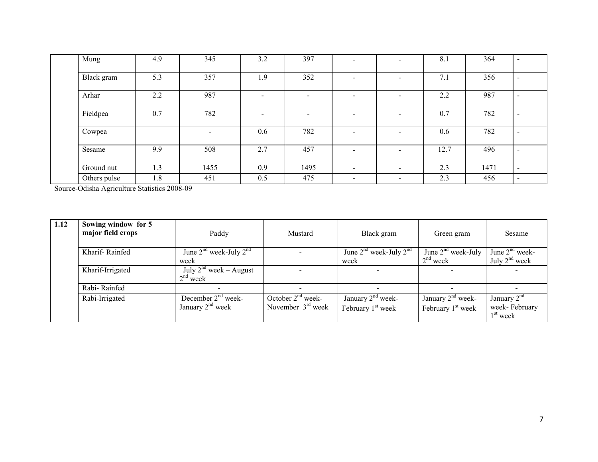| Mung         | 4.9 | 345                      | 3.2 | 397                      | $\overline{\phantom{0}}$ | $\overline{\phantom{a}}$ | 8.1  | 364  | $\overline{\phantom{a}}$ |
|--------------|-----|--------------------------|-----|--------------------------|--------------------------|--------------------------|------|------|--------------------------|
| Black gram   | 5.3 | 357                      | 1.9 | 352                      |                          | $\overline{\phantom{a}}$ | 7.1  | 356  | $\overline{\phantom{a}}$ |
| Arhar        | 2.2 | 987                      |     |                          |                          | $\overline{\phantom{0}}$ | 2.2  | 987  | $\overline{\phantom{a}}$ |
| Fieldpea     | 0.7 | 782                      | -   | $\overline{\phantom{0}}$ | $\overline{\phantom{0}}$ | $\overline{\phantom{0}}$ | 0.7  | 782  | $\overline{\phantom{a}}$ |
| Cowpea       |     | $\overline{\phantom{0}}$ | 0.6 | 782                      |                          | $\overline{\phantom{a}}$ | 0.6  | 782  | $\overline{\phantom{0}}$ |
| Sesame       | 9.9 | 508                      | 2.7 | 457                      | -                        | $\overline{\phantom{a}}$ | 12.7 | 496  | $\overline{\phantom{0}}$ |
| Ground nut   | 1.3 | 1455                     | 0.9 | 1495                     | $\overline{\phantom{0}}$ | $\overline{\phantom{a}}$ | 2.3  | 1471 | $\sim$                   |
| Others pulse | 1.8 | 451                      | 0.5 | 475                      | $\overline{\phantom{0}}$ | $\overline{\phantom{a}}$ | 2.3  | 456  | $\overline{\phantom{0}}$ |

Source-Odisha Agriculture Statistics 2008-09

| 1.12 | Sowing window for 5<br>major field crops | Paddy                                      | Mustard                                    | Black gram                                 | Green gram                                 | Sesame                                       |
|------|------------------------------------------|--------------------------------------------|--------------------------------------------|--------------------------------------------|--------------------------------------------|----------------------------------------------|
|      | Kharif-Rainfed                           | June $2^{nd}$ week-July $2^{nd}$<br>week   |                                            | June $2^{nd}$ week-July $2^{nd}$<br>week   | June $2nd$ week-July<br>$2nd$ week         | June $2nd$ week-<br>July $2nd$ week          |
|      | Kharif-Irrigated                         | July $2^{nd}$ week – August<br>$2nd$ week  |                                            |                                            |                                            |                                              |
|      | Rabi-Rainfed                             |                                            |                                            | $\overline{\phantom{0}}$                   |                                            | $\overline{\phantom{0}}$                     |
|      | Rabi-Irrigated                           | December $2nd$ week-<br>January $2nd$ week | October $2nd$ week-<br>November $3rd$ week | January $2nd$ week-<br>February $1st$ week | January $2nd$ week-<br>February $1st$ week | January $2nd$<br>week-February<br>$1st$ week |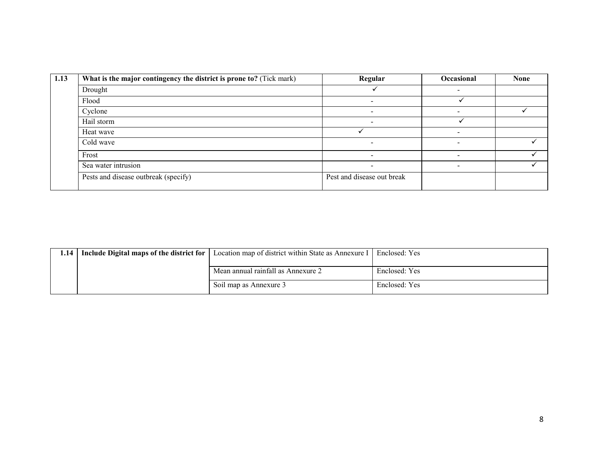| What is the major contingency the district is prone to? (Tick mark) | Regular                    | Occasional               | <b>None</b> |
|---------------------------------------------------------------------|----------------------------|--------------------------|-------------|
| Drought                                                             |                            |                          |             |
| Flood                                                               | $\overline{\phantom{0}}$   |                          |             |
| Cyclone                                                             |                            |                          |             |
| Hail storm                                                          |                            |                          |             |
| Heat wave                                                           |                            | $\overline{\phantom{a}}$ |             |
| Cold wave                                                           | $\overline{\phantom{0}}$   | $\overline{\phantom{a}}$ |             |
| Frost                                                               | $\overline{\phantom{0}}$   | $\overline{\phantom{0}}$ |             |
| Sea water intrusion                                                 | $\overline{\phantom{0}}$   | -                        |             |
| Pests and disease outbreak (specify)                                | Pest and disease out break |                          |             |

| 1.14 | Include Digital maps of the district for | Location map of district within State as Annexure I | Enclosed: Yes |
|------|------------------------------------------|-----------------------------------------------------|---------------|
|      |                                          | Mean annual rainfall as Annexure 2                  | Enclosed: Yes |
|      |                                          | Soil map as Annexure 3                              | Enclosed: Yes |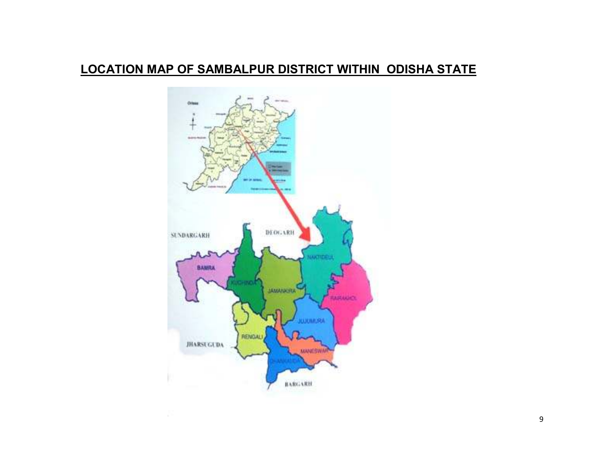# LOCATION MAP OF SAMBALPUR DISTRICT WITHIN ODISHA STATE

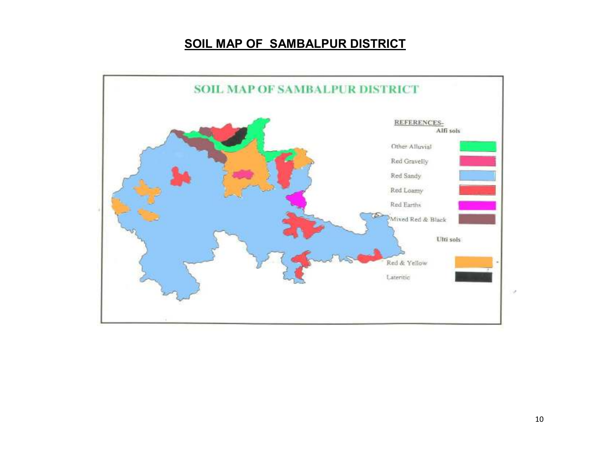## SOIL MAP OF SAMBALPUR DISTRICT

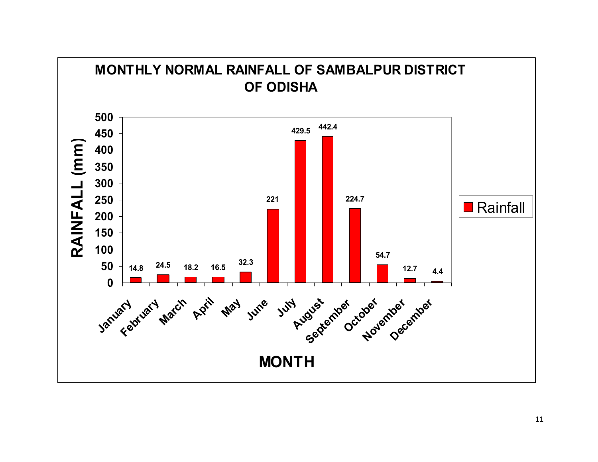

11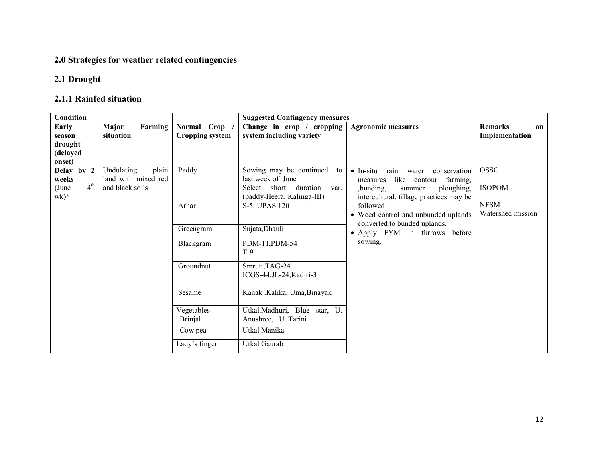#### 2.0 Strategies for weather related contingencies

#### 2.1 Drought

#### 2.1.1 Rainfed situation

| Condition                |                     |                        | <b>Suggested Contingency measures</b> |                                                    |                      |
|--------------------------|---------------------|------------------------|---------------------------------------|----------------------------------------------------|----------------------|
| Early                    | Farming<br>Major    | Normal Crop            | Change in crop / cropping             | <b>Agronomic measures</b>                          | <b>Remarks</b><br>on |
| season                   | situation           | <b>Cropping system</b> | system including variety              |                                                    | Implementation       |
| drought                  |                     |                        |                                       |                                                    |                      |
| (delayed                 |                     |                        |                                       |                                                    |                      |
| onset)                   |                     |                        |                                       |                                                    |                      |
| Delay by 2               | plain<br>Undulating | Paddy                  | Sowing may be continued<br>to         | rain<br>$\bullet$ In-situ<br>water<br>conservation | OSSC                 |
| weeks                    | land with mixed red |                        | last week of June                     | like contour<br>farming,<br>measures               |                      |
| 4 <sup>th</sup><br>(June | and black soils     |                        | Select short duration<br>var.         | ,bunding,<br>ploughing,<br>summer                  | <b>ISOPOM</b>        |
| wk)*                     |                     |                        | (paddy-Heera, Kalinga-III)            | intercultural, tillage practices may be            |                      |
|                          |                     | Arhar                  | S-5. UPAS 120                         | followed                                           | <b>NFSM</b>          |
|                          |                     |                        |                                       | • Weed control and unbunded uplands                | Watershed mission    |
|                          |                     | Greengram              | Sujata, Dhauli                        | converted to bunded uplands.                       |                      |
|                          |                     |                        |                                       | • Apply FYM in furrows before                      |                      |
|                          |                     | Blackgram              | PDM-11, PDM-54                        | sowing.                                            |                      |
|                          |                     |                        | $T-9$                                 |                                                    |                      |
|                          |                     | Groundnut              | Smruti, TAG-24                        |                                                    |                      |
|                          |                     |                        | ICGS-44, JL-24, Kadiri-3              |                                                    |                      |
|                          |                     |                        |                                       |                                                    |                      |
|                          |                     | Sesame                 | Kanak .Kalika, Uma, Binayak           |                                                    |                      |
|                          |                     |                        |                                       |                                                    |                      |
|                          |                     | Vegetables             | Utkal.Madhuri, Blue star, U.          |                                                    |                      |
|                          |                     | <b>Brinjal</b>         | Anushree, U. Tarini                   |                                                    |                      |
|                          |                     | Cow pea                | Utkal Manika                          |                                                    |                      |
|                          |                     | Lady's finger          | Utkal Gaurab                          |                                                    |                      |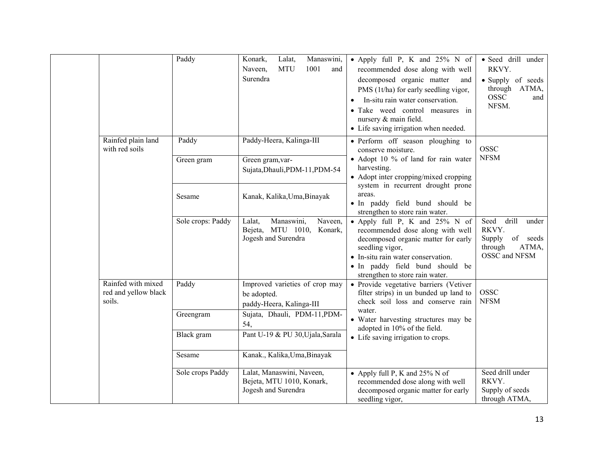|                |                                                      | Paddy               | Konark,<br>Lalat,<br>Manaswini,<br><b>MTU</b><br>1001<br>Naveen,<br>and<br>Surendra | • Apply full P, K and 25% N of<br>recommended dose along with well<br>decomposed organic matter<br>and<br>PMS (1t/ha) for early seedling vigor,<br>In-situ rain water conservation.<br>· Take weed control measures in<br>nursery & main field.<br>• Life saving irrigation when needed. | · Seed drill under<br>RKVY.<br>• Supply of seeds<br>through ATMA,<br><b>OSSC</b><br>and<br>NFSM. |
|----------------|------------------------------------------------------|---------------------|-------------------------------------------------------------------------------------|------------------------------------------------------------------------------------------------------------------------------------------------------------------------------------------------------------------------------------------------------------------------------------------|--------------------------------------------------------------------------------------------------|
| with red soils | Rainfed plain land                                   | Paddy<br>Green gram | Paddy-Heera, Kalinga-III<br>Green gram, var-<br>Sujata, Dhauli, PDM-11, PDM-54      | • Perform off season ploughing to<br>conserve moisture.<br>• Adopt 10 % of land for rain water<br>harvesting.<br>• Adopt inter cropping/mixed cropping                                                                                                                                   | <b>OSSC</b><br><b>NFSM</b>                                                                       |
|                |                                                      | Sesame              | Kanak, Kalika, Uma, Binayak                                                         | system in recurrent drought prone<br>areas.<br>· In paddy field bund should be<br>strengthen to store rain water.                                                                                                                                                                        |                                                                                                  |
|                |                                                      | Sole crops: Paddy   | Lalat,<br>Manaswini,<br>Naveen,<br>Bejeta, MTU 1010, Konark,<br>Jogesh and Surendra | • Apply full P, K and 25% N of<br>recommended dose along with well<br>decomposed organic matter for early<br>seedling vigor,<br>• In-situ rain water conservation.<br>· In paddy field bund should be<br>strengthen to store rain water.                                                 | drill<br>Seed<br>under<br>RKVY.<br>of seeds<br>Supply<br>through<br>ATMA,<br>OSSC and NFSM       |
|                | Rainfed with mixed<br>red and yellow black<br>soils. | Paddy               | Improved varieties of crop may<br>be adopted.<br>paddy-Heera, Kalinga-III           | • Provide vegetative barriers (Vetiver<br>filter strips) in un bunded up land to<br>check soil loss and conserve rain<br>water.                                                                                                                                                          | <b>OSSC</b><br><b>NFSM</b>                                                                       |
|                |                                                      | Greengram           | Sujata, Dhauli, PDM-11, PDM-<br>54,                                                 | • Water harvesting structures may be<br>adopted in 10% of the field.                                                                                                                                                                                                                     |                                                                                                  |
|                |                                                      | Black gram          | Pant U-19 & PU 30, Ujala, Sarala                                                    | • Life saving irrigation to crops.                                                                                                                                                                                                                                                       |                                                                                                  |
|                |                                                      | Sesame              | Kanak., Kalika, Uma, Binayak                                                        |                                                                                                                                                                                                                                                                                          |                                                                                                  |
|                |                                                      | Sole crops Paddy    | Lalat, Manaswini, Naveen,<br>Bejeta, MTU 1010, Konark,<br>Jogesh and Surendra       | • Apply full P, K and $25\%$ N of<br>recommended dose along with well<br>decomposed organic matter for early<br>seedling vigor,                                                                                                                                                          | Seed drill under<br>RKVY.<br>Supply of seeds<br>through ATMA,                                    |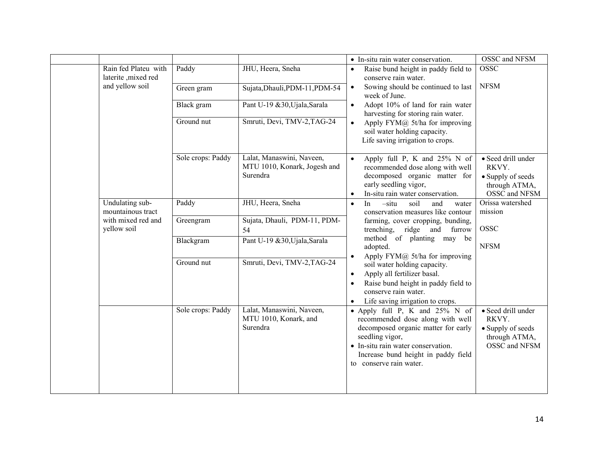|                                              |                   |                                                                       | • In-situ rain water conservation.                                                                                                                                                                                                                                                              | OSSC and NFSM                                                                      |
|----------------------------------------------|-------------------|-----------------------------------------------------------------------|-------------------------------------------------------------------------------------------------------------------------------------------------------------------------------------------------------------------------------------------------------------------------------------------------|------------------------------------------------------------------------------------|
| Rain fed Plateu with<br>laterite , mixed red | Paddy             | JHU, Heera, Sneha                                                     | Raise bund height in paddy field to<br>$\bullet$<br>conserve rain water.                                                                                                                                                                                                                        | <b>OSSC</b>                                                                        |
| and yellow soil                              | Green gram        | Sujata, Dhauli, PDM-11, PDM-54                                        | Sowing should be continued to last<br>$\bullet$<br>week of June.                                                                                                                                                                                                                                | <b>NFSM</b>                                                                        |
|                                              | Black gram        | Pant U-19 &30, Ujala, Sarala                                          | Adopt 10% of land for rain water<br>$\bullet$<br>harvesting for storing rain water.                                                                                                                                                                                                             |                                                                                    |
|                                              | Ground nut        | Smruti, Devi, TMV-2, TAG-24                                           | Apply $FYM@$ 5t/ha for improving<br>$\bullet$<br>soil water holding capacity.<br>Life saving irrigation to crops.                                                                                                                                                                               |                                                                                    |
|                                              | Sole crops: Paddy | Lalat, Manaswini, Naveen,<br>MTU 1010, Konark, Jogesh and<br>Surendra | Apply full P, K and $25\%$ N of<br>$\bullet$<br>recommended dose along with well<br>decomposed organic matter for<br>early seedling vigor,<br>In-situ rain water conservation.<br>$\bullet$                                                                                                     | • Seed drill under<br>RKVY.<br>• Supply of seeds<br>through ATMA,<br>OSSC and NFSM |
| Undulating sub-<br>mountainous tract         | Paddy             | JHU, Heera, Sneha                                                     | In<br>$-situ$<br>soil<br>and<br>water<br>$\bullet$<br>conservation measures like contour                                                                                                                                                                                                        | Orissa watershed<br>mission                                                        |
| with mixed red and<br>yellow soil            | Greengram         | Sujata, Dhauli, PDM-11, PDM-<br>54                                    | farming, cover cropping, bunding,<br>trenching, ridge and furrow                                                                                                                                                                                                                                | <b>OSSC</b>                                                                        |
|                                              | Blackgram         | Pant U-19 &30, Ujala, Sarala                                          | method of planting may be<br>adopted.<br>Apply $FYM@$ 5t/ha for improving<br>$\bullet$<br>soil water holding capacity.<br>Apply all fertilizer basal.<br>$\bullet$<br>Raise bund height in paddy field to<br>$\bullet$<br>conserve rain water.<br>Life saving irrigation to crops.<br>$\bullet$ | <b>NFSM</b>                                                                        |
|                                              | Ground nut        | Smruti, Devi, TMV-2, TAG-24                                           |                                                                                                                                                                                                                                                                                                 |                                                                                    |
|                                              | Sole crops: Paddy | Lalat, Manaswini, Naveen,<br>MTU 1010, Konark, and<br>Surendra        | • Apply full P, K and 25% N of<br>recommended dose along with well<br>decomposed organic matter for early<br>seedling vigor,<br>• In-situ rain water conservation.<br>Increase bund height in paddy field<br>to conserve rain water.                                                            | • Seed drill under<br>RKVY.<br>• Supply of seeds<br>through ATMA,<br>OSSC and NFSM |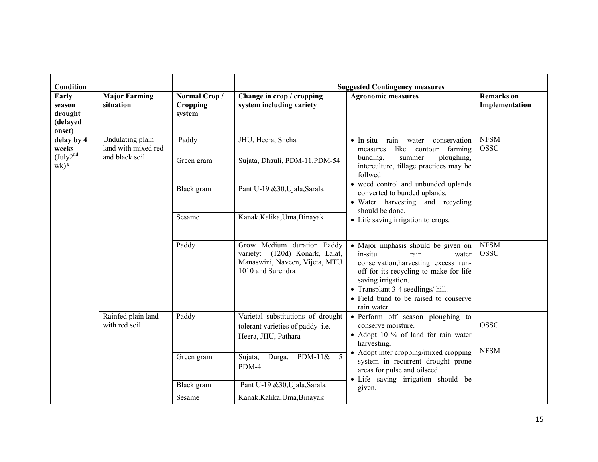| Condition                                               |                                                           |                                           |                                                                                                                     | <b>Suggested Contingency measures</b>                                                                                                                                                                                                                                |                                     |
|---------------------------------------------------------|-----------------------------------------------------------|-------------------------------------------|---------------------------------------------------------------------------------------------------------------------|----------------------------------------------------------------------------------------------------------------------------------------------------------------------------------------------------------------------------------------------------------------------|-------------------------------------|
| Early<br>season<br>drought<br>(delayed<br>onset)        | <b>Major Farming</b><br>situation                         | Normal Crop/<br><b>Cropping</b><br>system | Change in crop / cropping<br>system including variety                                                               | <b>Agronomic measures</b>                                                                                                                                                                                                                                            | <b>Remarks</b> on<br>Implementation |
| delay by 4<br>weeks<br>(Uuly2 <sup>nd</sup> )<br>$wk)*$ | Undulating plain<br>land with mixed red<br>and black soil | Paddy<br>Green gram<br>Black gram         | JHU, Heera, Sneha<br>Sujata, Dhauli, PDM-11, PDM-54<br>Pant U-19 &30, Ujala, Sarala                                 | $\bullet$ In-situ<br>rain<br>water<br>conservation<br>like<br>farming<br>measures<br>contour<br>bunding,<br>ploughing,<br>summer<br>interculture, tillage practices may be<br>follwed<br>• weed control and unbunded uplands<br>converted to bunded uplands.         | <b>NFSM</b><br><b>OSSC</b>          |
|                                                         |                                                           | Sesame                                    | Kanak.Kalika,Uma,Binayak                                                                                            | • Water harvesting and recycling<br>should be done.<br>• Life saving irrigation to crops.                                                                                                                                                                            |                                     |
|                                                         |                                                           | Paddy                                     | Grow Medium duration Paddy<br>variety: (120d) Konark, Lalat,<br>Manaswini, Naveen, Vijeta, MTU<br>1010 and Surendra | • Major imphasis should be given on<br>in-situ<br>rain<br>water<br>conservation, harvesting excess run-<br>off for its recycling to make for life<br>saving irrigation.<br>• Transplant 3-4 seedlings/ hill.<br>• Field bund to be raised to conserve<br>rain water. | <b>NFSM</b><br><b>OSSC</b>          |
|                                                         | Rainfed plain land<br>with red soil                       | Paddy                                     | Varietal substitutions of drought<br>tolerant varieties of paddy i.e.<br>Heera, JHU, Pathara                        | • Perform off season ploughing to<br>conserve moisture.<br>• Adopt 10 % of land for rain water<br>harvesting.<br>• Adopt inter cropping/mixed cropping<br>system in recurrent drought prone<br>areas for pulse and oilseed.                                          | <b>OSSC</b><br><b>NFSM</b>          |
|                                                         |                                                           | Green gram                                | $\overline{5}$<br>$PDM-11&$<br>Durga,<br>Sujata,<br>PDM-4                                                           |                                                                                                                                                                                                                                                                      |                                     |
|                                                         |                                                           | Black gram                                | Pant U-19 &30, Ujala, Sarala                                                                                        | • Life saving irrigation should be<br>given.                                                                                                                                                                                                                         |                                     |
|                                                         |                                                           | Sesame                                    | Kanak.Kalika,Uma,Binayak                                                                                            |                                                                                                                                                                                                                                                                      |                                     |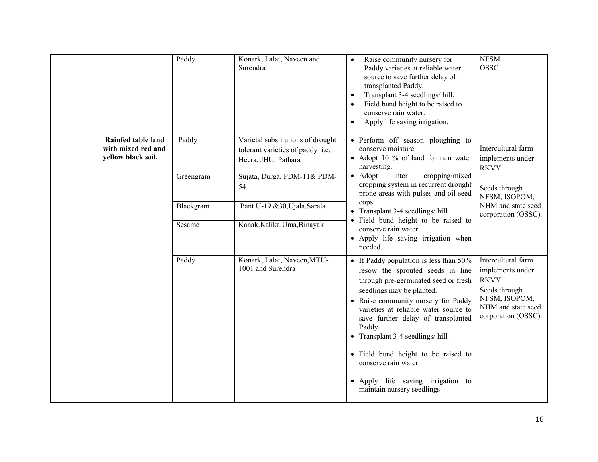|                                                                | Paddy     | Konark, Lalat, Naveen and<br>Surendra                                                        | Raise community nursery for<br>$\bullet$<br>Paddy varieties at reliable water<br>source to save further delay of<br>transplanted Paddy.<br>Transplant 3-4 seedlings/hill.<br>$\bullet$<br>Field bund height to be raised to<br>conserve rain water.<br>Apply life saving irrigation.<br>$\bullet$                                                                                                                                                         | <b>NFSM</b><br><b>OSSC</b>                                                                                                     |
|----------------------------------------------------------------|-----------|----------------------------------------------------------------------------------------------|-----------------------------------------------------------------------------------------------------------------------------------------------------------------------------------------------------------------------------------------------------------------------------------------------------------------------------------------------------------------------------------------------------------------------------------------------------------|--------------------------------------------------------------------------------------------------------------------------------|
| Rainfed table land<br>with mixed red and<br>yellow black soil. | Paddy     | Varietal substitutions of drought<br>tolerant varieties of paddy i.e.<br>Heera, JHU, Pathara | • Perform off season ploughing to<br>conserve moisture.<br>• Adopt 10 % of land for rain water<br>harvesting.<br>$\bullet$ Adopt<br>inter<br>cropping/mixed<br>cropping system in recurrent drought<br>prone areas with pulses and oil seed<br>cops.<br>• Transplant 3-4 seedlings/ hill.<br>• Field bund height to be raised to<br>conserve rain water.<br>• Apply life saving irrigation when<br>needed.                                                | Intercultural farm<br>implements under<br><b>RKVY</b>                                                                          |
|                                                                | Greengram | Sujata, Durga, PDM-11& PDM-<br>54                                                            |                                                                                                                                                                                                                                                                                                                                                                                                                                                           | Seeds through<br>NFSM, ISOPOM,<br>NHM and state seed<br>corporation (OSSC).                                                    |
|                                                                | Blackgram | Pant U-19 &30, Ujala, Sarala                                                                 |                                                                                                                                                                                                                                                                                                                                                                                                                                                           |                                                                                                                                |
|                                                                | Sesame    | Kanak.Kalika,Uma,Binayak                                                                     |                                                                                                                                                                                                                                                                                                                                                                                                                                                           |                                                                                                                                |
|                                                                | Paddy     | Konark, Lalat, Naveen, MTU-<br>1001 and Surendra                                             | • If Paddy population is less than $50\%$<br>resow the sprouted seeds in line<br>through pre-germinated seed or fresh<br>seedlings may be planted.<br>• Raise community nursery for Paddy<br>varieties at reliable water source to<br>save further delay of transplanted<br>Paddy.<br>• Transplant 3-4 seedlings/ hill.<br>• Field bund height to be raised to<br>conserve rain water.<br>• Apply life saving irrigation to<br>maintain nursery seedlings | Intercultural farm<br>implements under<br>RKVY.<br>Seeds through<br>NFSM, ISOPOM,<br>NHM and state seed<br>corporation (OSSC). |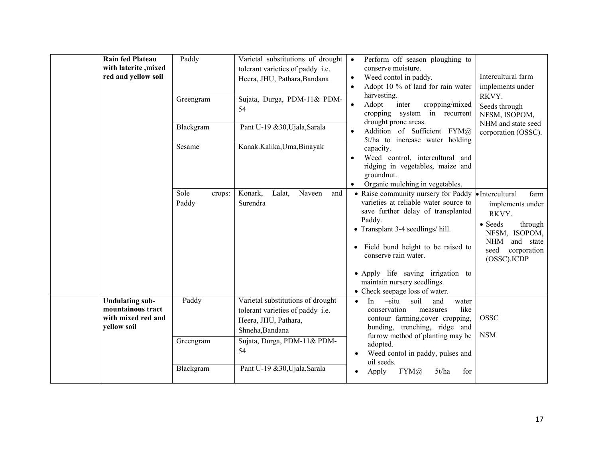| Rain fed Plateau<br>with laterite , mixed<br>red and yellow soil                 | Paddy<br>Greengram<br>Blackgram<br>Sesame<br>Sole<br>crops:<br>Paddy | Varietal substitutions of drought<br>tolerant varieties of paddy i.e.<br>Heera, JHU, Pathara, Bandana<br>Sujata, Durga, PDM-11& PDM-<br>54<br>Pant U-19 &30, Ujala, Sarala<br>Kanak.Kalika,Uma,Binayak<br>Konark,<br>Lalat,<br>Naveen<br>and<br>Surendra | Perform off season ploughing to<br>$\bullet$<br>conserve moisture.<br>Weed contol in paddy.<br>$\bullet$<br>Adopt 10 % of land for rain water<br>$\bullet$<br>harvesting.<br>cropping/mixed<br>Adopt<br>inter<br>cropping system in recurrent<br>drought prone areas.<br>Addition of Sufficient FYM@<br>5t/ha to increase water holding<br>capacity.<br>Weed control, intercultural and<br>ridging in vegetables, maize and<br>groundnut.<br>Organic mulching in vegetables.<br>• Raise community nursery for Paddy • Intercultural<br>varieties at reliable water source to<br>save further delay of transplanted<br>Paddy.<br>• Transplant 3-4 seedlings/ hill.<br>Field bund height to be raised to<br>$\bullet$<br>conserve rain water.<br>• Apply life saving irrigation to<br>maintain nursery seedlings.<br>• Check seepage loss of water. | Intercultural farm<br>implements under<br>RKVY.<br>Seeds through<br>NFSM, ISOPOM,<br>NHM and state seed<br>corporation (OSSC).<br>farm<br>implements under<br>RKVY.<br>• Seeds<br>through<br>NFSM, ISOPOM,<br>NHM<br>and state<br>seed<br>corporation<br>(OSSC).ICDP |
|----------------------------------------------------------------------------------|----------------------------------------------------------------------|----------------------------------------------------------------------------------------------------------------------------------------------------------------------------------------------------------------------------------------------------------|---------------------------------------------------------------------------------------------------------------------------------------------------------------------------------------------------------------------------------------------------------------------------------------------------------------------------------------------------------------------------------------------------------------------------------------------------------------------------------------------------------------------------------------------------------------------------------------------------------------------------------------------------------------------------------------------------------------------------------------------------------------------------------------------------------------------------------------------------|----------------------------------------------------------------------------------------------------------------------------------------------------------------------------------------------------------------------------------------------------------------------|
| <b>Undulating sub-</b><br>mountainous tract<br>with mixed red and<br>yellow soil | Paddy<br>Greengram<br>Blackgram                                      | Varietal substitutions of drought<br>tolerant varieties of paddy i.e.<br>Heera, JHU, Pathara,<br>Shneha, Bandana<br>Sujata, Durga, PDM-11& PDM-<br>54<br>Pant U-19 &30, Ujala, Sarala                                                                    | $-situ$<br>soil<br>and<br>In<br>water<br>$\bullet$<br>like<br>conservation<br>measures<br>contour farming, cover cropping,<br>bunding, trenching, ridge and<br>furrow method of planting may be<br>adopted.<br>Weed contol in paddy, pulses and<br>$\bullet$<br>oil seeds.<br>$FYM(\hat{a})$<br>5t/ha<br>for<br>Apply<br>$\bullet$                                                                                                                                                                                                                                                                                                                                                                                                                                                                                                                | <b>OSSC</b><br><b>NSM</b>                                                                                                                                                                                                                                            |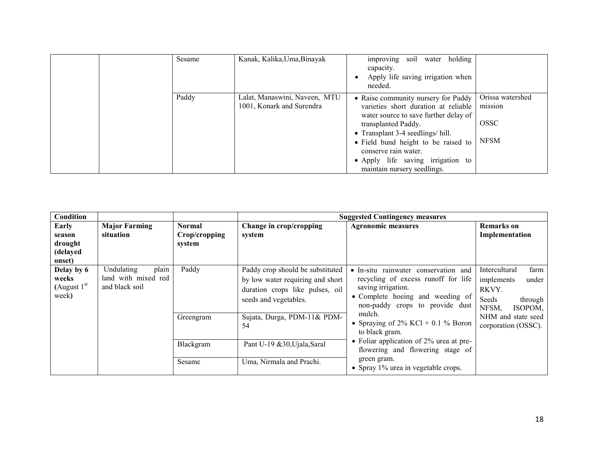| Sesame | Kanak, Kalika, Uma, Binayak                                | improving soil water holding<br>capacity.<br>Apply life saving irrigation when<br>needed.                                                                                                                                                                                                                           |                                                           |
|--------|------------------------------------------------------------|---------------------------------------------------------------------------------------------------------------------------------------------------------------------------------------------------------------------------------------------------------------------------------------------------------------------|-----------------------------------------------------------|
| Paddy  | Lalat, Manaswini, Naveen, MTU<br>1001, Konark and Surendra | • Raise community nursery for Paddy<br>varieties short duration at reliable<br>water source to save further delay of<br>transplanted Paddy.<br>• Transplant 3-4 seedlings/ hill.<br>• Field bund height to be raised to<br>conserve rain water.<br>• Apply life saving irrigation to<br>maintain nursery seedlings. | Orissa watershed<br>mission<br><b>OSSC</b><br><b>NFSM</b> |

| Condition                                        |                                                              |                                   |                                                                                                                                  | <b>Suggested Contingency measures</b>                                       |                                                                                                                                                             |                                                                                      |
|--------------------------------------------------|--------------------------------------------------------------|-----------------------------------|----------------------------------------------------------------------------------------------------------------------------------|-----------------------------------------------------------------------------|-------------------------------------------------------------------------------------------------------------------------------------------------------------|--------------------------------------------------------------------------------------|
| Early<br>season<br>drought<br>(delayed<br>onset) | <b>Major Farming</b><br>situation                            | Normal<br>Crop/cropping<br>system | Change in crop/cropping<br>system                                                                                                | <b>Agronomic measures</b>                                                   | <b>Remarks</b> on<br>Implementation                                                                                                                         |                                                                                      |
| Delay by 6<br>weeks<br>(August $1st$<br>week)    | plain<br>Undulating<br>land with mixed red<br>and black soil | Paddy                             | Paddy crop should be substituted<br>by low water requiring and short<br>duration crops like pulses, oil<br>seeds and vegetables. | saving irrigation.                                                          | · In-situ rainwater conservation and<br>recycling of excess runoff for life<br>• Complete hoeing and weeding of<br>Seeds<br>non-paddy crops to provide dust | farm<br>Intercultural<br>implements<br>under<br>RKVY.<br>through<br>NFSM,<br>ISOPOM, |
|                                                  |                                                              | Greengram                         | Sujata, Durga, PDM-11& PDM-<br>54                                                                                                | mulch.<br>• Spraying of $2\%$ KCl + 0.1 % Boron<br>to black gram.           | NHM and state seed<br>corporation (OSSC).                                                                                                                   |                                                                                      |
|                                                  |                                                              | Blackgram                         | Pant U-19 &30, Ujala, Saral                                                                                                      | • Foliar application of 2% urea at pre-<br>flowering and flowering stage of |                                                                                                                                                             |                                                                                      |
|                                                  |                                                              | Sesame                            | Uma, Nirmala and Prachi.                                                                                                         | green gram.<br>• Spray $1\%$ urea in vegetable crops.                       |                                                                                                                                                             |                                                                                      |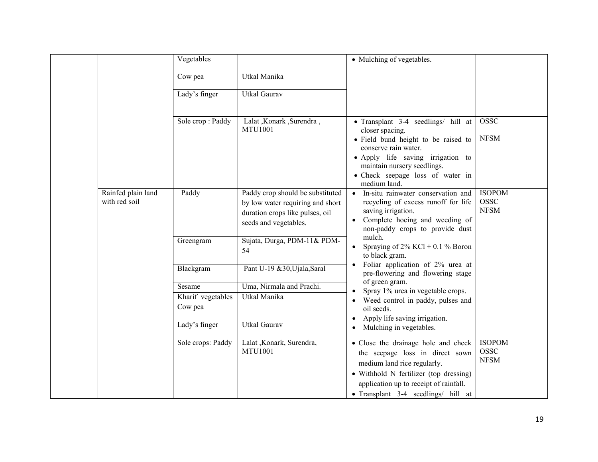|                                     | Vegetables                   |                                                                                                                                  | • Mulching of vegetables.                                                                                                                                                                                                                     |                                             |
|-------------------------------------|------------------------------|----------------------------------------------------------------------------------------------------------------------------------|-----------------------------------------------------------------------------------------------------------------------------------------------------------------------------------------------------------------------------------------------|---------------------------------------------|
|                                     | Cow pea                      | Utkal Manika                                                                                                                     |                                                                                                                                                                                                                                               |                                             |
|                                     | Lady's finger                | <b>Utkal Gaurav</b>                                                                                                              |                                                                                                                                                                                                                                               |                                             |
|                                     | Sole crop: Paddy             | Lalat, Konark, Surendra,<br><b>MTU1001</b>                                                                                       | • Transplant 3-4 seedlings/ hill at<br>closer spacing.<br>• Field bund height to be raised to<br>conserve rain water.<br>• Apply life saving irrigation to<br>maintain nursery seedlings.<br>• Check seepage loss of water in<br>medium land. | <b>OSSC</b><br><b>NFSM</b>                  |
| Rainfed plain land<br>with red soil | Paddy                        | Paddy crop should be substituted<br>by low water requiring and short<br>duration crops like pulses, oil<br>seeds and vegetables. | In-situ rainwater conservation and<br>recycling of excess runoff for life<br>saving irrigation.<br>Complete hoeing and weeding of<br>non-paddy crops to provide dust                                                                          | <b>ISOPOM</b><br><b>OSSC</b><br><b>NFSM</b> |
|                                     | Greengram                    | Sujata, Durga, PDM-11& PDM-<br>54                                                                                                | mulch.<br>Spraying of $2\%$ KCl + 0.1 % Boron<br>to black gram.                                                                                                                                                                               |                                             |
|                                     | Blackgram                    | Pant U-19 &30, Ujala, Saral                                                                                                      | Foliar application of 2% urea at<br>pre-flowering and flowering stage                                                                                                                                                                         |                                             |
|                                     | Sesame                       | Uma, Nirmala and Prachi.                                                                                                         | of green gram.<br>Spray 1% urea in vegetable crops.                                                                                                                                                                                           |                                             |
|                                     | Kharif vegetables<br>Cow pea | Utkal Manika                                                                                                                     | Weed control in paddy, pulses and<br>$\bullet$<br>oil seeds.<br>Apply life saving irrigation.<br>$\bullet$                                                                                                                                    |                                             |
|                                     | Lady's finger                | <b>Utkal Gaurav</b>                                                                                                              | Mulching in vegetables.<br>$\bullet$                                                                                                                                                                                                          |                                             |
|                                     | Sole crops: Paddy            | Lalat , Konark, Surendra,<br><b>MTU1001</b>                                                                                      | • Close the drainage hole and check<br>the seepage loss in direct sown<br>medium land rice regularly.<br>• Withhold N fertilizer (top dressing)<br>application up to receipt of rainfall.<br>• Transplant 3-4 seedlings/ hill at              | <b>ISOPOM</b><br><b>OSSC</b><br><b>NFSM</b> |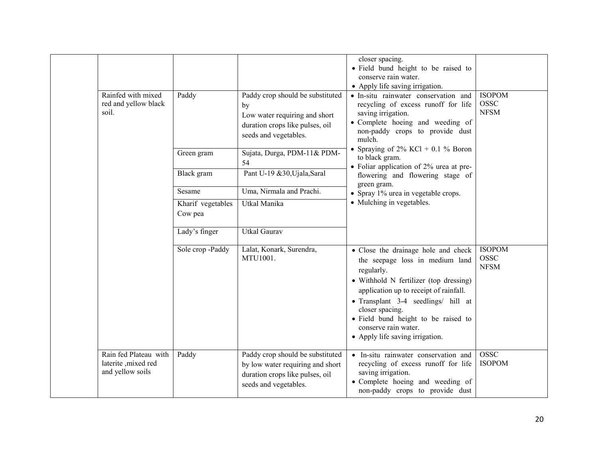|  |                                                                                                                                                                                                                                                                                                                                                                            |                           |                                                                                                                                     | closer spacing.<br>• Field bund height to be raised to<br>conserve rain water.<br>• Apply life saving irrigation.                                                                                                                                                                                                                    |                                             |
|--|----------------------------------------------------------------------------------------------------------------------------------------------------------------------------------------------------------------------------------------------------------------------------------------------------------------------------------------------------------------------------|---------------------------|-------------------------------------------------------------------------------------------------------------------------------------|--------------------------------------------------------------------------------------------------------------------------------------------------------------------------------------------------------------------------------------------------------------------------------------------------------------------------------------|---------------------------------------------|
|  | Rainfed with mixed<br>red and yellow black<br>soil.                                                                                                                                                                                                                                                                                                                        | Paddy                     | Paddy crop should be substituted<br>by<br>Low water requiring and short<br>duration crops like pulses, oil<br>seeds and vegetables. | • In-situ rainwater conservation and<br>recycling of excess runoff for life<br>saving irrigation.<br>• Complete hoeing and weeding of<br>non-paddy crops to provide dust<br>mulch.                                                                                                                                                   | <b>ISOPOM</b><br><b>OSSC</b><br><b>NFSM</b> |
|  | • Spraying of $2\%$ KCl + 0.1 % Boron<br>Sujata, Durga, PDM-11& PDM-<br>Green gram<br>to black gram.<br>54<br>• Foliar application of $2\%$ urea at pre-<br>Pant U-19 &30, Ujala, Saral<br>Black gram<br>flowering and flowering stage of<br>green gram.<br>Uma, Nirmala and Prachi.<br>Sesame<br>• Spray 1% urea in vegetable crops.<br>Utkal Manika<br>Kharif vegetables |                           |                                                                                                                                     |                                                                                                                                                                                                                                                                                                                                      |                                             |
|  |                                                                                                                                                                                                                                                                                                                                                                            | • Mulching in vegetables. |                                                                                                                                     |                                                                                                                                                                                                                                                                                                                                      |                                             |
|  |                                                                                                                                                                                                                                                                                                                                                                            | Cow pea                   |                                                                                                                                     |                                                                                                                                                                                                                                                                                                                                      |                                             |
|  |                                                                                                                                                                                                                                                                                                                                                                            | Lady's finger             | <b>Utkal Gaurav</b>                                                                                                                 |                                                                                                                                                                                                                                                                                                                                      |                                             |
|  |                                                                                                                                                                                                                                                                                                                                                                            | Sole crop -Paddy          | Lalat, Konark, Surendra,<br>MTU1001.                                                                                                | • Close the drainage hole and check<br>the seepage loss in medium land<br>regularly.<br>· Withhold N fertilizer (top dressing)<br>application up to receipt of rainfall.<br>• Transplant 3-4 seedlings/ hill at<br>closer spacing.<br>· Field bund height to be raised to<br>conserve rain water.<br>• Apply life saving irrigation. | <b>ISOPOM</b><br><b>OSSC</b><br><b>NFSM</b> |
|  | Rain fed Plateau with<br>laterite ,mixed red<br>and yellow soils                                                                                                                                                                                                                                                                                                           | Paddy                     | Paddy crop should be substituted<br>by low water requiring and short<br>duration crops like pulses, oil<br>seeds and vegetables.    | • In-situ rainwater conservation and<br>recycling of excess runoff for life<br>saving irrigation.<br>• Complete hoeing and weeding of<br>non-paddy crops to provide dust                                                                                                                                                             | <b>OSSC</b><br><b>ISOPOM</b>                |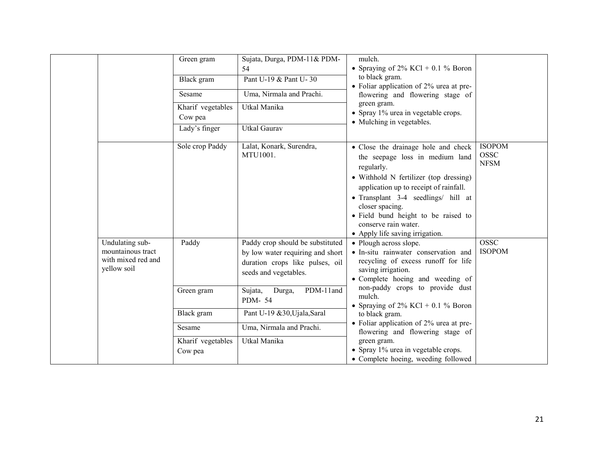|                                                                           | Green gram<br>Black gram<br>Sesame<br>Kharif vegetables<br>Cow pea<br>Lady's finger | Sujata, Durga, PDM-11& PDM-<br>54<br>Pant U-19 & Pant U-30<br>Uma, Nirmala and Prachi.<br>Utkal Manika<br><b>Utkal Gaurav</b>    | mulch.<br>• Spraying of $2\%$ KCl + 0.1 % Boron<br>to black gram.<br>• Foliar application of 2% urea at pre-<br>flowering and flowering stage of<br>green gram.<br>• Spray 1% urea in vegetable crops.<br>• Mulching in vegetables.                                                                                                  |                                             |
|---------------------------------------------------------------------------|-------------------------------------------------------------------------------------|----------------------------------------------------------------------------------------------------------------------------------|--------------------------------------------------------------------------------------------------------------------------------------------------------------------------------------------------------------------------------------------------------------------------------------------------------------------------------------|---------------------------------------------|
|                                                                           | Sole crop Paddy                                                                     | Lalat, Konark, Surendra,<br>MTU1001.                                                                                             | • Close the drainage hole and check<br>the seepage loss in medium land<br>regularly.<br>• Withhold N fertilizer (top dressing)<br>application up to receipt of rainfall.<br>• Transplant 3-4 seedlings/ hill at<br>closer spacing.<br>• Field bund height to be raised to<br>conserve rain water.<br>• Apply life saving irrigation. | <b>ISOPOM</b><br><b>OSSC</b><br><b>NFSM</b> |
| Undulating sub-<br>mountainous tract<br>with mixed red and<br>yellow soil | Paddy                                                                               | Paddy crop should be substituted<br>by low water requiring and short<br>duration crops like pulses, oil<br>seeds and vegetables. | • Plough across slope.<br>• In-situ rainwater conservation and<br>recycling of excess runoff for life<br>saving irrigation.<br>• Complete hoeing and weeding of                                                                                                                                                                      | <b>OSSC</b><br><b>ISOPOM</b>                |
|                                                                           | Green gram                                                                          | PDM-11and<br>Sujata,<br>Durga,<br>PDM-54                                                                                         | non-paddy crops to provide dust<br>mulch.<br>• Spraying of $2\%$ KCl + 0.1 % Boron                                                                                                                                                                                                                                                   |                                             |
|                                                                           | Black gram                                                                          | Pant U-19 &30, Ujala, Saral                                                                                                      | to black gram.                                                                                                                                                                                                                                                                                                                       |                                             |
|                                                                           | Sesame                                                                              | Uma, Nirmala and Prachi.                                                                                                         | • Foliar application of $2\%$ urea at pre-<br>flowering and flowering stage of                                                                                                                                                                                                                                                       |                                             |
|                                                                           | Kharif vegetables<br>Cow pea                                                        | Utkal Manika                                                                                                                     | green gram.<br>• Spray 1% urea in vegetable crops.<br>• Complete hoeing, weeding followed                                                                                                                                                                                                                                            |                                             |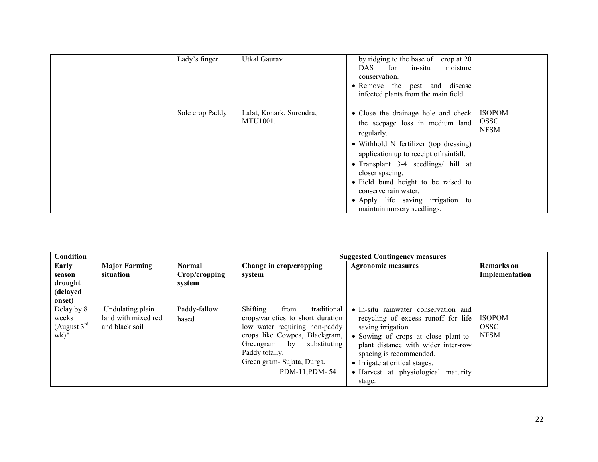|  | Lady's finger   | Utkal Gaurav                         | by ridging to the base of<br>crop at 20<br>for<br>DAS.<br>moisture<br>in-situ<br>conservation.<br>• Remove the pest and disease<br>infected plants from the main field.                                                                                                                                                                                                 |                                             |
|--|-----------------|--------------------------------------|-------------------------------------------------------------------------------------------------------------------------------------------------------------------------------------------------------------------------------------------------------------------------------------------------------------------------------------------------------------------------|---------------------------------------------|
|  | Sole crop Paddy | Lalat, Konark, Surendra,<br>MTU1001. | • Close the drainage hole and check<br>the seepage loss in medium land<br>regularly.<br>• Withhold N fertilizer (top dressing)<br>application up to receipt of rainfall.<br>• Transplant $3-4$ seedlings/ hill at<br>closer spacing.<br>• Field bund height to be raised to<br>conserve rain water.<br>• Apply life saving irrigation to<br>maintain nursery seedlings. | <b>ISOPOM</b><br><b>OSSC</b><br><b>NFSM</b> |

| Condition                                         |                                                           |                                |                                                                                                                                                                                                                                          | <b>Suggested Contingency measures</b>                                                                                                                                                                                                                                                             |                                             |
|---------------------------------------------------|-----------------------------------------------------------|--------------------------------|------------------------------------------------------------------------------------------------------------------------------------------------------------------------------------------------------------------------------------------|---------------------------------------------------------------------------------------------------------------------------------------------------------------------------------------------------------------------------------------------------------------------------------------------------|---------------------------------------------|
| Early<br>season                                   | <b>Major Farming</b><br>situation                         | <b>Normal</b><br>Crop/cropping | Change in crop/cropping<br>system                                                                                                                                                                                                        | <b>Agronomic measures</b>                                                                                                                                                                                                                                                                         | <b>Remarks</b> on<br>Implementation         |
| drought<br>(delayed                               |                                                           | system                         |                                                                                                                                                                                                                                          |                                                                                                                                                                                                                                                                                                   |                                             |
| onset)                                            |                                                           |                                |                                                                                                                                                                                                                                          |                                                                                                                                                                                                                                                                                                   |                                             |
| Delay by 8<br>weeks<br>(August $3^{rd}$<br>$wk)*$ | Undulating plain<br>land with mixed red<br>and black soil | Paddy-fallow<br>based          | Shifting<br>traditional<br>from<br>crops/varieties to short duration<br>low water requiring non-paddy<br>crops like Cowpea, Blackgram,<br>substituting<br>Greengram by<br>Paddy totally.<br>Green gram- Sujata, Durga,<br>PDM-11, PDM-54 | • In-situ rainwater conservation and<br>recycling of excess runoff for life<br>saving irrigation.<br>• Sowing of crops at close plant-to-<br>plant distance with wider inter-row<br>spacing is recommended.<br>• Irrigate at critical stages.<br>• Harvest at physiological<br>maturity<br>stage. | <b>ISOPOM</b><br><b>OSSC</b><br><b>NFSM</b> |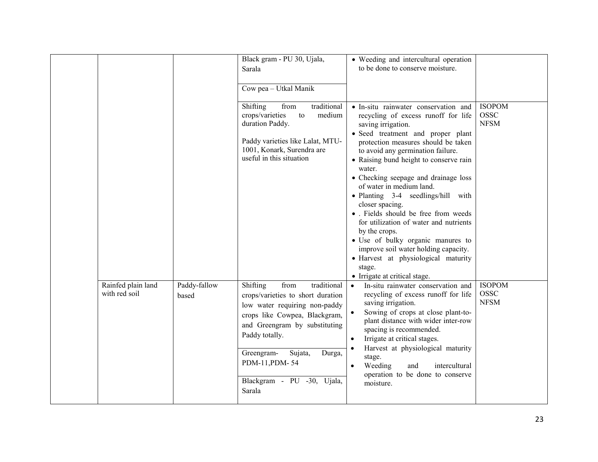|                                     |                       | Black gram - PU 30, Ujala,<br>Sarala<br>Cow pea - Utkal Manik                                                                                                                                                                                                                          | • Weeding and intercultural operation<br>to be done to conserve moisture.                                                                                                                                                                                                                                                                                                                                                                                                                                                                                                                                                                                           |                                             |
|-------------------------------------|-----------------------|----------------------------------------------------------------------------------------------------------------------------------------------------------------------------------------------------------------------------------------------------------------------------------------|---------------------------------------------------------------------------------------------------------------------------------------------------------------------------------------------------------------------------------------------------------------------------------------------------------------------------------------------------------------------------------------------------------------------------------------------------------------------------------------------------------------------------------------------------------------------------------------------------------------------------------------------------------------------|---------------------------------------------|
|                                     |                       | traditional<br>Shifting<br>from<br>crops/varieties<br>to<br>medium<br>duration Paddy.<br>Paddy varieties like Lalat, MTU-<br>1001, Konark, Surendra are<br>useful in this situation                                                                                                    | • In-situ rainwater conservation and<br>recycling of excess runoff for life<br>saving irrigation.<br>• Seed treatment and proper plant<br>protection measures should be taken<br>to avoid any germination failure.<br>• Raising bund height to conserve rain<br>water.<br>• Checking seepage and drainage loss<br>of water in medium land.<br>• Planting 3-4 seedlings/hill with<br>closer spacing.<br>• Fields should be free from weeds<br>for utilization of water and nutrients<br>by the crops.<br>· Use of bulky organic manures to<br>improve soil water holding capacity.<br>· Harvest at physiological maturity<br>stage.<br>• Irrigate at critical stage. | <b>ISOPOM</b><br><b>OSSC</b><br><b>NFSM</b> |
| Rainfed plain land<br>with red soil | Paddy-fallow<br>based | Shifting<br>from<br>traditional<br>crops/varieties to short duration<br>low water requiring non-paddy<br>crops like Cowpea, Blackgram,<br>and Greengram by substituting<br>Paddy totally.<br>Greengram-<br>Sujata,<br>Durga,<br>PDM-11, PDM-54<br>Blackgram - PU -30, Ujala,<br>Sarala | In-situ rainwater conservation and<br>$\bullet$<br>recycling of excess runoff for life<br>saving irrigation.<br>Sowing of crops at close plant-to-<br>plant distance with wider inter-row<br>spacing is recommended.<br>Irrigate at critical stages.<br>$\bullet$<br>Harvest at physiological maturity<br>stage.<br>Weeding<br>and<br>intercultural<br>$\bullet$<br>operation to be done to conserve<br>moisture.                                                                                                                                                                                                                                                   | <b>ISOPOM</b><br><b>OSSC</b><br><b>NFSM</b> |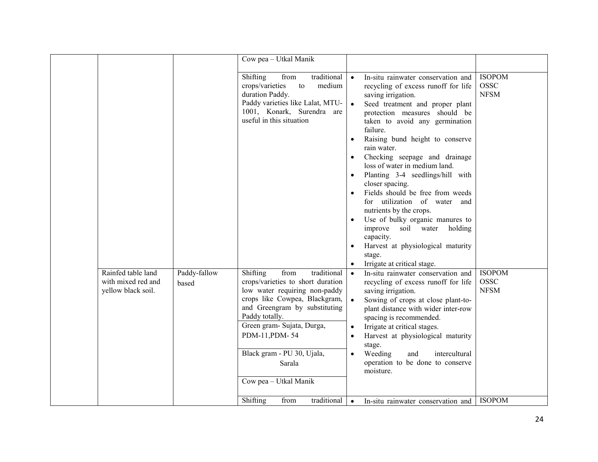|                                          |              | Cow pea - Utkal Manik                                                                                                                                      |                                    |                                                                                                                                                                                                                                                                                                                                                                                                                                                                                                                                                                                                                                                                                      |                                             |
|------------------------------------------|--------------|------------------------------------------------------------------------------------------------------------------------------------------------------------|------------------------------------|--------------------------------------------------------------------------------------------------------------------------------------------------------------------------------------------------------------------------------------------------------------------------------------------------------------------------------------------------------------------------------------------------------------------------------------------------------------------------------------------------------------------------------------------------------------------------------------------------------------------------------------------------------------------------------------|---------------------------------------------|
|                                          |              | Shifting<br>from<br>crops/varieties<br>to<br>duration Paddy.<br>Paddy varieties like Lalat, MTU-<br>1001, Konark, Surendra are<br>useful in this situation | traditional<br>$\bullet$<br>medium | In-situ rainwater conservation and<br>recycling of excess runoff for life<br>saving irrigation.<br>Seed treatment and proper plant<br>protection measures should be<br>taken to avoid any germination<br>failure.<br>Raising bund height to conserve<br>$\bullet$<br>rain water.<br>Checking seepage and drainage<br>$\bullet$<br>loss of water in medium land.<br>Planting 3-4 seedlings/hill with<br>closer spacing.<br>Fields should be free from weeds<br>for utilization of water and<br>nutrients by the crops.<br>Use of bulky organic manures to<br>improve soil water<br>holding<br>capacity.<br>Harvest at physiological maturity<br>stage.<br>Irrigate at critical stage. | <b>ISOPOM</b><br><b>OSSC</b><br><b>NFSM</b> |
| Rainfed table land                       | Paddy-fallow | Shifting<br>from                                                                                                                                           | traditional                        | In-situ rainwater conservation and<br>$\bullet$                                                                                                                                                                                                                                                                                                                                                                                                                                                                                                                                                                                                                                      | <b>ISOPOM</b>                               |
| with mixed red and<br>yellow black soil. | based        | crops/varieties to short duration<br>low water requiring non-paddy                                                                                         |                                    | recycling of excess runoff for life<br>saving irrigation.                                                                                                                                                                                                                                                                                                                                                                                                                                                                                                                                                                                                                            | <b>OSSC</b><br><b>NFSM</b>                  |
|                                          |              | crops like Cowpea, Blackgram,<br>and Greengram by substituting                                                                                             |                                    | Sowing of crops at close plant-to-                                                                                                                                                                                                                                                                                                                                                                                                                                                                                                                                                                                                                                                   |                                             |
|                                          |              | Paddy totally.                                                                                                                                             |                                    | plant distance with wider inter-row<br>spacing is recommended.                                                                                                                                                                                                                                                                                                                                                                                                                                                                                                                                                                                                                       |                                             |
|                                          |              | Green gram- Sujata, Durga,                                                                                                                                 |                                    | Irrigate at critical stages.<br>$\bullet$                                                                                                                                                                                                                                                                                                                                                                                                                                                                                                                                                                                                                                            |                                             |
|                                          |              | PDM-11, PDM-54                                                                                                                                             |                                    | Harvest at physiological maturity<br>$\bullet$<br>stage.                                                                                                                                                                                                                                                                                                                                                                                                                                                                                                                                                                                                                             |                                             |
|                                          |              | Black gram - PU 30, Ujala,                                                                                                                                 |                                    | Weeding<br>and<br>intercultural<br>$\bullet$                                                                                                                                                                                                                                                                                                                                                                                                                                                                                                                                                                                                                                         |                                             |
|                                          |              | Sarala                                                                                                                                                     |                                    | operation to be done to conserve<br>moisture.                                                                                                                                                                                                                                                                                                                                                                                                                                                                                                                                                                                                                                        |                                             |
|                                          |              | Cow pea - Utkal Manik                                                                                                                                      |                                    |                                                                                                                                                                                                                                                                                                                                                                                                                                                                                                                                                                                                                                                                                      |                                             |
|                                          |              | Shifting<br>from                                                                                                                                           | traditional                        | $\bullet$<br>In-situ rainwater conservation and                                                                                                                                                                                                                                                                                                                                                                                                                                                                                                                                                                                                                                      | <b>ISOPOM</b>                               |
|                                          |              |                                                                                                                                                            |                                    |                                                                                                                                                                                                                                                                                                                                                                                                                                                                                                                                                                                                                                                                                      |                                             |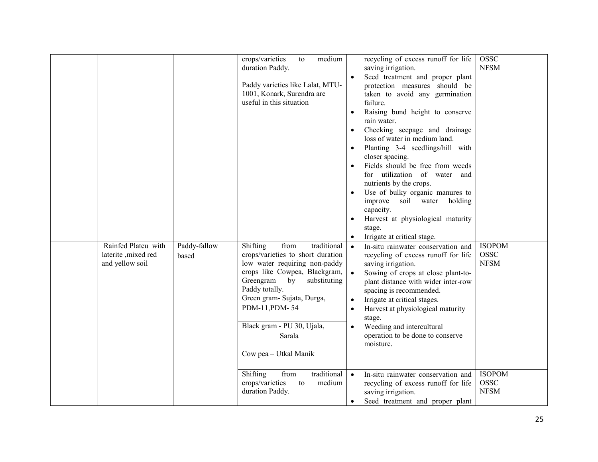|                                                                |                       | medium<br>crops/varieties<br>to<br>duration Paddy.<br>Paddy varieties like Lalat, MTU-<br>1001, Konark, Surendra are<br>useful in this situation                                                                                                                                                             | recycling of excess runoff for life<br>saving irrigation.<br>Seed treatment and proper plant<br>protection measures should be<br>taken to avoid any germination<br>failure.<br>Raising bund height to conserve<br>$\bullet$<br>rain water.<br>Checking seepage and drainage<br>$\bullet$<br>loss of water in medium land.<br>Planting 3-4 seedlings/hill with<br>$\bullet$<br>closer spacing.<br>Fields should be free from weeds<br>for utilization of water and<br>nutrients by the crops.<br>Use of bulky organic manures to<br>$\bullet$<br>improve soil water holding<br>capacity.<br>Harvest at physiological maturity<br>$\bullet$<br>stage.<br>Irrigate at critical stage.<br>$\bullet$ | <b>OSSC</b><br><b>NFSM</b>                  |
|----------------------------------------------------------------|-----------------------|--------------------------------------------------------------------------------------------------------------------------------------------------------------------------------------------------------------------------------------------------------------------------------------------------------------|-------------------------------------------------------------------------------------------------------------------------------------------------------------------------------------------------------------------------------------------------------------------------------------------------------------------------------------------------------------------------------------------------------------------------------------------------------------------------------------------------------------------------------------------------------------------------------------------------------------------------------------------------------------------------------------------------|---------------------------------------------|
| Rainfed Plateu with<br>laterite , mixed red<br>and yellow soil | Paddy-fallow<br>based | Shifting<br>traditional<br>from<br>crops/varieties to short duration<br>low water requiring non-paddy<br>crops like Cowpea, Blackgram,<br>Greengram<br>by<br>substituting<br>Paddy totally.<br>Green gram- Sujata, Durga,<br>PDM-11, PDM-54<br>Black gram - PU 30, Ujala,<br>Sarala<br>Cow pea - Utkal Manik | In-situ rainwater conservation and<br>$\bullet$<br>recycling of excess runoff for life<br>saving irrigation.<br>Sowing of crops at close plant-to-<br>plant distance with wider inter-row<br>spacing is recommended.<br>Irrigate at critical stages.<br>$\bullet$<br>Harvest at physiological maturity<br>$\bullet$<br>stage.<br>Weeding and intercultural<br>$\bullet$<br>operation to be done to conserve<br>moisture.                                                                                                                                                                                                                                                                        | <b>ISOPOM</b><br><b>OSSC</b><br><b>NFSM</b> |
|                                                                |                       | traditional<br>Shifting<br>from<br>crops/varieties<br>medium<br>to<br>duration Paddy.                                                                                                                                                                                                                        | In-situ rainwater conservation and<br>$\bullet$<br>recycling of excess runoff for life<br>saving irrigation.<br>Seed treatment and proper plant<br>$\bullet$                                                                                                                                                                                                                                                                                                                                                                                                                                                                                                                                    | <b>ISOPOM</b><br><b>OSSC</b><br><b>NFSM</b> |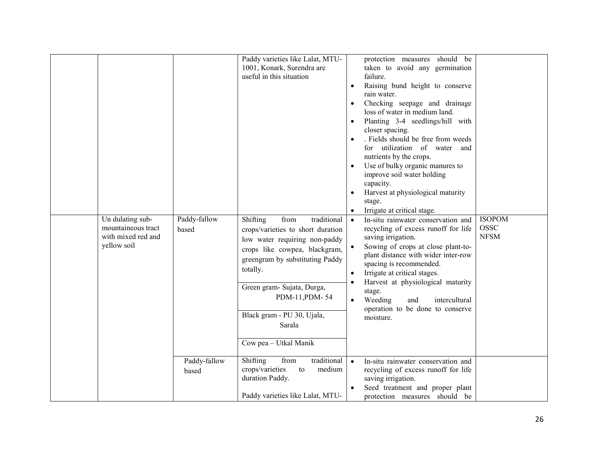|                                                                             |                       | Paddy varieties like Lalat, MTU-<br>1001, Konark, Surendra are<br>useful in this situation                                                                                                                                                                                                             | protection measures should be<br>taken to avoid any germination<br>failure.<br>Raising bund height to conserve<br>rain water.<br>Checking seepage and drainage<br>loss of water in medium land.<br>Planting 3-4 seedlings/hill with<br>closer spacing.<br>. Fields should be free from weeds<br>for utilization of water and<br>nutrients by the crops.<br>Use of bulky organic manures to<br>$\bullet$<br>improve soil water holding<br>capacity.<br>Harvest at physiological maturity<br>$\bullet$<br>stage.<br>Irrigate at critical stage. |                                             |
|-----------------------------------------------------------------------------|-----------------------|--------------------------------------------------------------------------------------------------------------------------------------------------------------------------------------------------------------------------------------------------------------------------------------------------------|-----------------------------------------------------------------------------------------------------------------------------------------------------------------------------------------------------------------------------------------------------------------------------------------------------------------------------------------------------------------------------------------------------------------------------------------------------------------------------------------------------------------------------------------------|---------------------------------------------|
| Un dulating sub-<br>mountaineous tract<br>with mixed red and<br>yellow soil | Paddy-fallow<br>based | Shifting<br>from<br>traditional<br>crops/varieties to short duration<br>low water requiring non-paddy<br>crops like cowpea, blackgram,<br>greengram by substituting Paddy<br>totally.<br>Green gram- Sujata, Durga,<br>PDM-11, PDM-54<br>Black gram - PU 30, Ujala,<br>Sarala<br>Cow pea - Utkal Manik | In-situ rainwater conservation and<br>$\bullet$<br>recycling of excess runoff for life<br>saving irrigation.<br>Sowing of crops at close plant-to-<br>plant distance with wider inter-row<br>spacing is recommended.<br>Irrigate at critical stages.<br>$\bullet$<br>Harvest at physiological maturity<br>stage.<br>Weeding<br>and<br>intercultural<br>$\bullet$<br>operation to be done to conserve<br>moisture.                                                                                                                             | <b>ISOPOM</b><br><b>OSSC</b><br><b>NFSM</b> |
|                                                                             | Paddy-fallow<br>based | from<br>traditional<br>Shifting<br>crops/varieties<br>medium<br>to<br>duration Paddy.<br>Paddy varieties like Lalat, MTU-                                                                                                                                                                              | $\bullet$<br>In-situ rainwater conservation and<br>recycling of excess runoff for life<br>saving irrigation.<br>Seed treatment and proper plant<br>protection measures should be                                                                                                                                                                                                                                                                                                                                                              |                                             |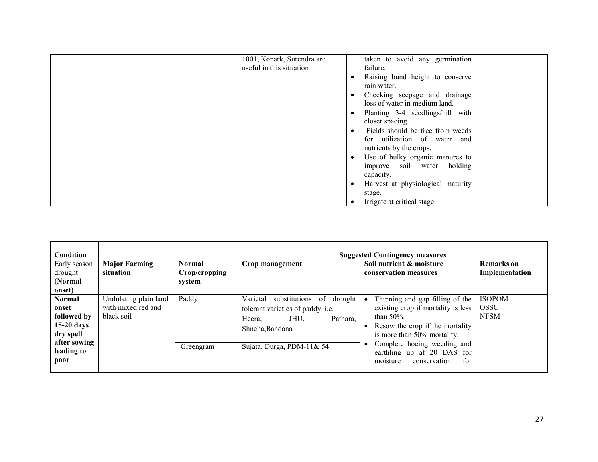| 1001, Konark, Surendra are | taken to avoid any germination                 |
|----------------------------|------------------------------------------------|
| useful in this situation   | failure.                                       |
|                            | Raising bund height to conserve<br>٠           |
|                            | rain water.                                    |
|                            | Checking seepage and drainage<br>$\bullet$     |
|                            | loss of water in medium land.                  |
|                            | Planting 3-4 seedlings/hill with<br>٠          |
|                            | closer spacing.                                |
|                            | Fields should be free from weeds<br>$\bullet$  |
|                            | for utilization of water and                   |
|                            | nutrients by the crops.                        |
|                            | Use of bulky organic manures to<br>$\bullet$   |
|                            | holding<br>improve soil water                  |
|                            | capacity.                                      |
|                            | Harvest at physiological maturity<br>$\bullet$ |
|                            | stage.                                         |
|                            | Irrigate at critical stage<br>٠                |

| <b>Condition</b>                                                                   |                                                           |                                          |                                                                                                                                 | <b>Suggested Contingency measures</b>                                                                                                                                 |                                             |
|------------------------------------------------------------------------------------|-----------------------------------------------------------|------------------------------------------|---------------------------------------------------------------------------------------------------------------------------------|-----------------------------------------------------------------------------------------------------------------------------------------------------------------------|---------------------------------------------|
| Early season<br>drought<br>(Normal)<br>onset)                                      | <b>Major Farming</b><br>situation                         | <b>Normal</b><br>Crop/cropping<br>system | Crop management                                                                                                                 | Soil nutrient & moisture<br>conservation measures                                                                                                                     | <b>Remarks</b> on<br>Implementation         |
| <b>Normal</b><br>onset<br>followed by<br>$15-20$ days<br>dry spell<br>after sowing | Undulating plain land<br>with mixed red and<br>black soil | Paddy                                    | of<br>substitutions<br>drought<br>Varietal<br>tolerant varieties of paddy i.e.<br>Pathara.<br>Heera,<br>JHU.<br>Shneha, Bandana | Thinning and gap filling of the<br>existing crop if mortality is less<br>than $50\%$ .<br>Resow the crop if the mortality<br>$\bullet$<br>is more than 50% mortality. | <b>ISOPOM</b><br><b>OSSC</b><br><b>NFSM</b> |
| leading to<br>poor                                                                 |                                                           | Greengram                                | Sujata, Durga, PDM-11& 54                                                                                                       | Complete hoeing weeding and<br>earthling up at 20 DAS for<br>moisture<br>for<br>conservation                                                                          |                                             |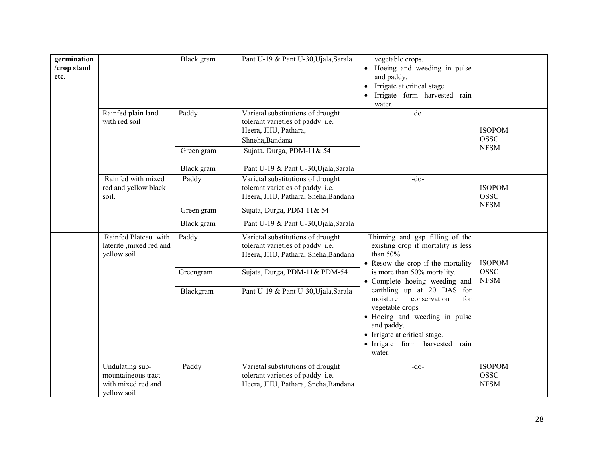| germination<br>/crop stand<br>etc. | Rainfed plain land<br>with red soil                                        | Black gram<br>Paddy<br>Green gram | Pant U-19 & Pant U-30, Ujala, Sarala<br>Varietal substitutions of drought<br>tolerant varieties of paddy i.e.<br>Heera, JHU, Pathara,<br>Shneha, Bandana<br>Sujata, Durga, PDM-11& 54 | vegetable crops.<br>Hoeing and weeding in pulse<br>and paddy.<br>Irrigate at critical stage.<br>$\bullet$<br>Irrigate form harvested rain<br>water.<br>$-do-$                                                | <b>ISOPOM</b><br><b>OSSC</b><br><b>NFSM</b> |
|------------------------------------|----------------------------------------------------------------------------|-----------------------------------|---------------------------------------------------------------------------------------------------------------------------------------------------------------------------------------|--------------------------------------------------------------------------------------------------------------------------------------------------------------------------------------------------------------|---------------------------------------------|
|                                    |                                                                            | Black gram                        | Pant U-19 & Pant U-30, Ujala, Sarala                                                                                                                                                  |                                                                                                                                                                                                              |                                             |
|                                    | Rainfed with mixed<br>red and yellow black<br>soil.                        | Paddy                             | Varietal substitutions of drought<br>tolerant varieties of paddy i.e.<br>Heera, JHU, Pathara, Sneha, Bandana                                                                          | $-do-$                                                                                                                                                                                                       | <b>ISOPOM</b><br><b>OSSC</b>                |
|                                    |                                                                            | Green gram                        | Sujata, Durga, PDM-11& 54                                                                                                                                                             |                                                                                                                                                                                                              | <b>NFSM</b>                                 |
|                                    |                                                                            | Black gram                        | Pant U-19 & Pant U-30, Ujala, Sarala                                                                                                                                                  |                                                                                                                                                                                                              |                                             |
|                                    | Rainfed Plateau with<br>laterite, mixed red and<br>yellow soil             | Paddy                             | Varietal substitutions of drought<br>tolerant varieties of paddy i.e.<br>Heera, JHU, Pathara, Sneha, Bandana                                                                          | Thinning and gap filling of the<br>existing crop if mortality is less<br>than 50%.<br>• Resow the crop if the mortality                                                                                      | <b>ISOPOM</b>                               |
|                                    |                                                                            | Greengram                         | Sujata, Durga, PDM-11& PDM-54                                                                                                                                                         | is more than 50% mortality.<br>• Complete hoeing weeding and                                                                                                                                                 | <b>OSSC</b><br><b>NFSM</b>                  |
|                                    |                                                                            | Blackgram                         | Pant U-19 & Pant U-30, Ujala, Sarala                                                                                                                                                  | earthling up at 20 DAS for<br>moisture<br>conservation<br>for<br>vegetable crops<br>· Hoeing and weeding in pulse<br>and paddy.<br>• Irrigate at critical stage.<br>· Irrigate form harvested rain<br>water. |                                             |
|                                    | Undulating sub-<br>mountaineous tract<br>with mixed red and<br>yellow soil | Paddy                             | Varietal substitutions of drought<br>tolerant varieties of paddy i.e.<br>Heera, JHU, Pathara, Sneha, Bandana                                                                          | $-do-$                                                                                                                                                                                                       | <b>ISOPOM</b><br><b>OSSC</b><br><b>NFSM</b> |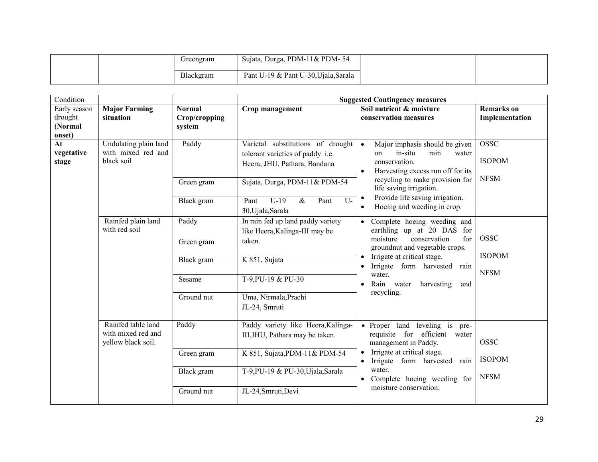|  | Greengram | Sujata, Durga, PDM-11& PDM-54        |  |
|--|-----------|--------------------------------------|--|
|  | Blackgram | Pant U-19 & Pant U-30, Ujala, Sarala |  |

| Condition                                                                              |                                                                |                                                                                                       |                                                                                                                                                  | <b>Suggested Contingency measures</b>                                                                                                                                                                       |                                     |
|----------------------------------------------------------------------------------------|----------------------------------------------------------------|-------------------------------------------------------------------------------------------------------|--------------------------------------------------------------------------------------------------------------------------------------------------|-------------------------------------------------------------------------------------------------------------------------------------------------------------------------------------------------------------|-------------------------------------|
| Early season<br>drought<br>(Normal                                                     | <b>Major Farming</b><br>situation                              | <b>Normal</b><br>Crop/cropping<br>system                                                              | Crop management                                                                                                                                  | Soil nutrient & moisture<br>conservation measures                                                                                                                                                           | <b>Remarks</b> on<br>Implementation |
| onset)                                                                                 |                                                                |                                                                                                       |                                                                                                                                                  |                                                                                                                                                                                                             |                                     |
| Undulating plain land<br>At<br>with mixed red and<br>vegetative<br>black soil<br>stage | Paddy                                                          | Varietal substitutions of drought<br>tolerant varieties of paddy i.e.<br>Heera, JHU, Pathara, Bandana | Major imphasis should be given<br>$\bullet$<br>in-situ<br>rain<br>on<br>water<br>conservation.<br>Harvesting excess run off for its<br>$\bullet$ | <b>OSSC</b><br><b>ISOPOM</b><br><b>NFSM</b>                                                                                                                                                                 |                                     |
|                                                                                        |                                                                | Green gram                                                                                            | Sujata, Durga, PDM-11& PDM-54                                                                                                                    | recycling to make provision for<br>life saving irrigation.<br>Provide life saving irrigation.<br>$\bullet$                                                                                                  |                                     |
|                                                                                        |                                                                | Black gram                                                                                            | $U-19$<br>$U$ -<br>$\&$<br>Pant<br>Pant<br>30, Ujala, Sarala                                                                                     | Hoeing and weeding in crop.                                                                                                                                                                                 |                                     |
|                                                                                        | Rainfed plain land<br>with red soil                            | Paddy                                                                                                 | In rain fed up land paddy variety<br>like Heera, Kalinga-III may be                                                                              | Complete hoeing weeding and<br>earthling up at 20 DAS for                                                                                                                                                   |                                     |
|                                                                                        |                                                                | Green gram                                                                                            | taken.                                                                                                                                           | conservation<br>moisture<br>for<br>groundnut and vegetable crops.<br>Irrigate at critical stage.<br>Irrigate form harvested<br>rain<br>water.<br>Rain water<br>harvesting<br>and<br>$\bullet$<br>recycling. | <b>OSSC</b><br><b>ISOPOM</b>        |
|                                                                                        |                                                                | Black gram                                                                                            | K 851, Sujata                                                                                                                                    |                                                                                                                                                                                                             | <b>NFSM</b>                         |
|                                                                                        |                                                                | Sesame                                                                                                | T-9, PU-19 & PU-30                                                                                                                               |                                                                                                                                                                                                             |                                     |
|                                                                                        |                                                                | Ground nut                                                                                            | Uma, Nirmala, Prachi<br>JL-24, Smruti                                                                                                            |                                                                                                                                                                                                             |                                     |
|                                                                                        | Rainfed table land<br>with mixed red and<br>yellow black soil. | Paddy                                                                                                 | Paddy variety like Heera, Kalinga-<br>III, JHU, Pathara may be taken.                                                                            | • Proper land leveling is<br>pre-<br>requisite for efficient<br>water<br>management in Paddy.                                                                                                               | <b>OSSC</b>                         |
|                                                                                        |                                                                | Green gram                                                                                            | K 851, Sujata, PDM-11& PDM-54                                                                                                                    | Irrigate at critical stage.<br>Irrigate form harvested<br>rain<br>$\bullet$                                                                                                                                 | <b>ISOPOM</b>                       |
|                                                                                        |                                                                | Black gram                                                                                            | T-9,PU-19 & PU-30,Ujala,Sarala                                                                                                                   | water.<br>Complete hoeing weeding for                                                                                                                                                                       | <b>NFSM</b>                         |
|                                                                                        |                                                                | Ground nut                                                                                            | JL-24, Smruti, Devi                                                                                                                              | moisture conservation.                                                                                                                                                                                      |                                     |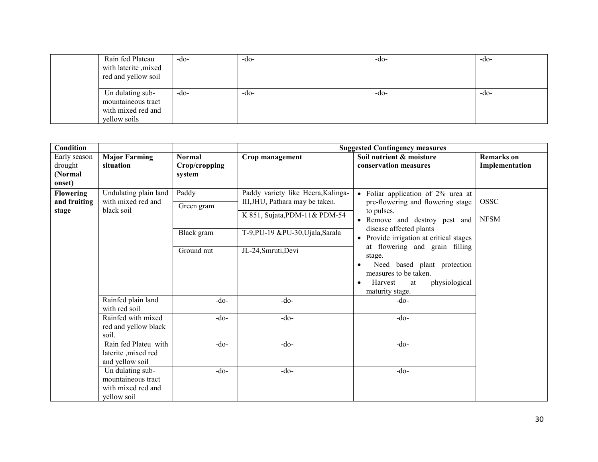| Rain fed Plateau<br>with laterite , mixed<br>red and yellow soil             | $-dO$ | $-do-$ | $-do-$ | $-dO$ |
|------------------------------------------------------------------------------|-------|--------|--------|-------|
| Un dulating sub-<br>mountaineous tract<br>with mixed red and<br>yellow soils | $-dO$ | $-dO$  | -do-   | $-dO$ |

| Condition                                                                                              |                                                                             |                                                                                                                                             |                                                                                                                                                              | <b>Suggested Contingency measures</b>                                                                                                                                                                                      |                                     |
|--------------------------------------------------------------------------------------------------------|-----------------------------------------------------------------------------|---------------------------------------------------------------------------------------------------------------------------------------------|--------------------------------------------------------------------------------------------------------------------------------------------------------------|----------------------------------------------------------------------------------------------------------------------------------------------------------------------------------------------------------------------------|-------------------------------------|
| Early season<br>drought<br>(Normal<br>onset)                                                           | <b>Major Farming</b><br>situation                                           | <b>Normal</b><br>Crop/cropping<br>system                                                                                                    | Crop management                                                                                                                                              | Soil nutrient & moisture<br>conservation measures                                                                                                                                                                          | <b>Remarks</b> on<br>Implementation |
| Undulating plain land<br><b>Flowering</b><br>with mixed red and<br>and fruiting<br>black soil<br>stage | Paddy<br>Green gram<br>Black gram                                           | Paddy variety like Heera, Kalinga-<br>III, JHU, Pathara may be taken.<br>K 851, Sujata, PDM-11& PDM-54<br>T-9, PU-19 & PU-30, Ujala, Sarala | • Foliar application of 2% urea at<br>pre-flowering and flowering stage<br>to pulses.<br>Remove and destroy pest and<br>$\bullet$<br>disease affected plants | <b>OSSC</b><br><b>NFSM</b>                                                                                                                                                                                                 |                                     |
|                                                                                                        |                                                                             | Ground nut                                                                                                                                  | JL-24, Smruti, Devi                                                                                                                                          | • Provide irrigation at critical stages<br>at flowering and grain filling<br>stage.<br>Need based plant protection<br>$\bullet$<br>measures to be taken.<br>physiological<br>Harvest<br>at<br>$\bullet$<br>maturity stage. |                                     |
|                                                                                                        | Rainfed plain land<br>with red soil                                         | $-do-$                                                                                                                                      | $-do-$                                                                                                                                                       | $-do-$                                                                                                                                                                                                                     |                                     |
|                                                                                                        | Rainfed with mixed<br>red and yellow black<br>soil.                         | $-do-$                                                                                                                                      | $-do-$                                                                                                                                                       | $-do-$                                                                                                                                                                                                                     |                                     |
|                                                                                                        | Rain fed Plateu with<br>laterite , mixed red<br>and yellow soil             | $-do$                                                                                                                                       | $-do-$                                                                                                                                                       | $-do-$                                                                                                                                                                                                                     |                                     |
|                                                                                                        | Un dulating sub-<br>mountaineous tract<br>with mixed red and<br>yellow soil | $-do-$                                                                                                                                      | $-do-$                                                                                                                                                       | $-do$                                                                                                                                                                                                                      |                                     |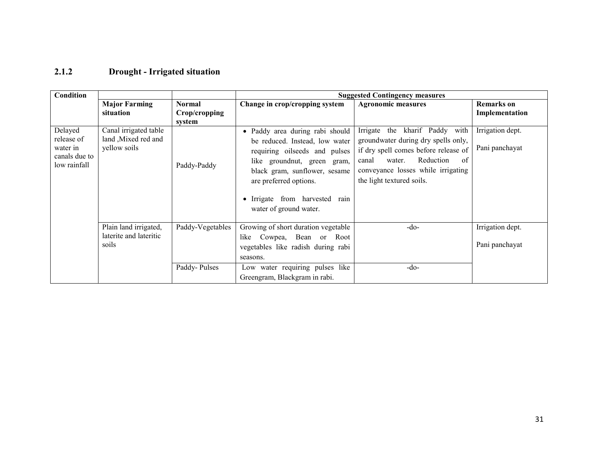#### 2.1.2 Drought - Irrigated situation

| Condition                                                          |                                                              |                                          |                                                                                                                                                                                                                                                                   | <b>Suggested Contingency measures</b>                                                                                                                                                                                     |                                     |
|--------------------------------------------------------------------|--------------------------------------------------------------|------------------------------------------|-------------------------------------------------------------------------------------------------------------------------------------------------------------------------------------------------------------------------------------------------------------------|---------------------------------------------------------------------------------------------------------------------------------------------------------------------------------------------------------------------------|-------------------------------------|
|                                                                    | <b>Major Farming</b><br>situation                            | <b>Normal</b><br>Crop/cropping<br>system | Change in crop/cropping system                                                                                                                                                                                                                                    | <b>Agronomic measures</b>                                                                                                                                                                                                 | <b>Remarks</b> on<br>Implementation |
| Delayed<br>release of<br>water in<br>canals due to<br>low rainfall | Canal irrigated table<br>land, Mixed red and<br>yellow soils | Paddy-Paddy                              | Paddy area during rabi should<br>$\bullet$<br>be reduced. Instead, low water<br>requiring oilseeds and pulses<br>like groundnut, green gram,<br>black gram, sunflower, sesame<br>are preferred options.<br>Irrigate from harvested rain<br>water of ground water. | the kharif Paddy with<br>Irrigate<br>groundwater during dry spells only,<br>if dry spell comes before release of<br>Reduction<br>canal<br>water.<br>of<br>conveyance losses while irrigating<br>the light textured soils. | Irrigation dept.<br>Pani panchayat  |
|                                                                    | Plain land irrigated,<br>laterite and lateritic<br>soils     | Paddy-Vegetables<br>Paddy-Pulses         | Growing of short duration vegetable<br>like Cowpea, Bean or Root<br>vegetables like radish during rabi<br>seasons.<br>Low water requiring pulses like                                                                                                             | $-do-$<br>$-do$                                                                                                                                                                                                           | Irrigation dept.<br>Pani panchayat  |
|                                                                    |                                                              |                                          | Greengram, Blackgram in rabi.                                                                                                                                                                                                                                     |                                                                                                                                                                                                                           |                                     |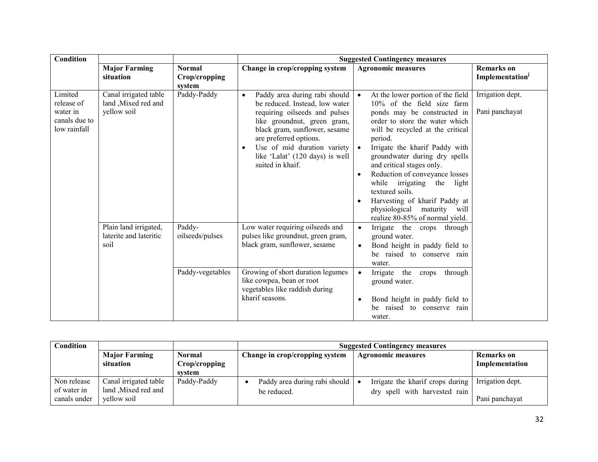| <b>Condition</b>                                                   |                                                              |                                          |                                                                                                                                                                                                                                                                                  | <b>Suggested Contingency measures</b>                                                                                                                                                                                                                                                                                                                                                                                                                                                                                    |                                     |
|--------------------------------------------------------------------|--------------------------------------------------------------|------------------------------------------|----------------------------------------------------------------------------------------------------------------------------------------------------------------------------------------------------------------------------------------------------------------------------------|--------------------------------------------------------------------------------------------------------------------------------------------------------------------------------------------------------------------------------------------------------------------------------------------------------------------------------------------------------------------------------------------------------------------------------------------------------------------------------------------------------------------------|-------------------------------------|
|                                                                    | <b>Major Farming</b><br>situation                            | <b>Normal</b><br>Crop/cropping<br>system | Change in crop/cropping system                                                                                                                                                                                                                                                   | <b>Agronomic measures</b>                                                                                                                                                                                                                                                                                                                                                                                                                                                                                                | <b>Remarks</b> on<br>Implementation |
| Limited<br>release of<br>water in<br>canals due to<br>low rainfall | Canal irrigated table<br>land , Mixed red and<br>yellow soil | Paddy-Paddy                              | Paddy area during rabi should<br>be reduced. Instead, low water<br>requiring oilseeds and pulses<br>like groundnut, green gram,<br>black gram, sunflower, sesame<br>are preferred options.<br>Use of mid duration variety<br>like 'Lalat' (120 days) is well<br>suited in khaif. | At the lower portion of the field<br>$10\%$ of the field size farm<br>ponds may be constructed in<br>order to store the water which<br>will be recycled at the critical<br>period.<br>Irrigate the kharif Paddy with<br>$\bullet$<br>groundwater during dry spells<br>and critical stages only.<br>Reduction of conveyance losses<br>$\bullet$<br>while irrigating<br>the<br>light<br>textured soils.<br>Harvesting of kharif Paddy at<br>$\bullet$<br>maturity will<br>physiological<br>realize 80-85% of normal yield. | Irrigation dept.<br>Pani panchayat  |
|                                                                    | Plain land irrigated,<br>laterite and lateritic<br>soil      | Paddy-<br>oilseeds/pulses                | Low water requiring oilseeds and<br>pulses like groundnut, green gram,<br>black gram, sunflower, sesame                                                                                                                                                                          | Irrigate the crops through<br>$\bullet$<br>ground water.<br>Bond height in paddy field to<br>$\bullet$<br>be raised to conserve rain<br>water.                                                                                                                                                                                                                                                                                                                                                                           |                                     |
|                                                                    |                                                              | Paddy-vegetables                         | Growing of short duration legumes<br>like cowpea, bean or root<br>vegetables like raddish during<br>kharif seasons.                                                                                                                                                              | Irrigate the<br>through<br>crops<br>$\bullet$<br>ground water.<br>Bond height in paddy field to<br>$\bullet$<br>be raised to conserve rain<br>water.                                                                                                                                                                                                                                                                                                                                                                     |                                     |

| <b>Condition</b> |                                   |                         | <b>Suggested Contingency measures</b> |                                  |                              |  |
|------------------|-----------------------------------|-------------------------|---------------------------------------|----------------------------------|------------------------------|--|
|                  | <b>Major Farming</b><br>situation | Normal<br>Crop/cropping | Change in crop/cropping system        | <b>Agronomic measures</b>        | Remarks on<br>Implementation |  |
|                  |                                   | system                  |                                       |                                  |                              |  |
| Non release      | Canal irrigated table             | Paddy-Paddy             | Paddy area during rabi should         | Irrigate the kharif crops during | Irrigation dept.             |  |
| of water in      | land Mixed red and                |                         | be reduced.                           | dry spell with harvested rain    |                              |  |
| canals under     | vellow soil                       |                         |                                       |                                  | Pani panchayat               |  |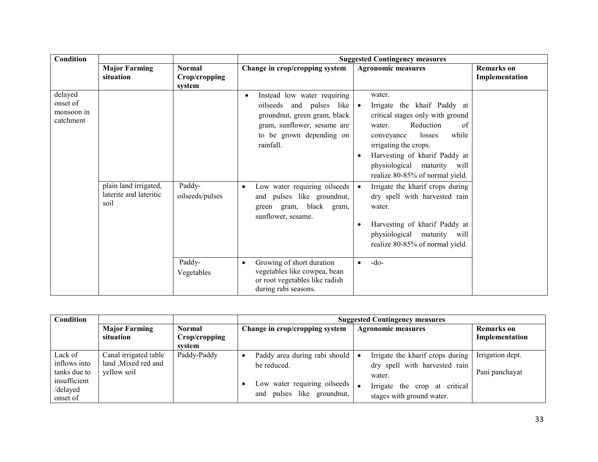| Condition                                      |                                                         |                                   |                                                                                                                                                                                                                                                                                             | <b>Suggested Contingency measures</b>                                                                                                                                                                                                                                                                                                                                                                                                                                                                     |                                     |
|------------------------------------------------|---------------------------------------------------------|-----------------------------------|---------------------------------------------------------------------------------------------------------------------------------------------------------------------------------------------------------------------------------------------------------------------------------------------|-----------------------------------------------------------------------------------------------------------------------------------------------------------------------------------------------------------------------------------------------------------------------------------------------------------------------------------------------------------------------------------------------------------------------------------------------------------------------------------------------------------|-------------------------------------|
|                                                | <b>Major Farming</b><br>situation                       | Normal<br>Crop/cropping<br>system | Change in crop/cropping system                                                                                                                                                                                                                                                              | <b>Agronomic measures</b>                                                                                                                                                                                                                                                                                                                                                                                                                                                                                 | <b>Remarks</b> on<br>Implementation |
| delayed<br>onset of<br>monsoon in<br>catchment | plain land irrigated,<br>laterite and lateritic<br>soil | Paddy-<br>oilseeds/pulses         | Instead low water requiring<br>$\bullet$<br>oilseeds and pulses like<br>groundnut, green gram, black<br>gram, sunflower, sesame are<br>to be grown depending on<br>rainfall.<br>Low water requiring oilseeds<br>and pulses like groundnut,<br>green gram, black gram,<br>sunflower, sesame. | water.<br>Irrigate the khaif Paddy at<br>$\bullet$<br>critical stages only with ground<br>Reduction<br>water.<br>of<br>while<br>losses<br>conveyance<br>irrigating the crops.<br>Harvesting of kharif Paddy at<br>$\bullet$<br>physiological maturity will<br>realize 80-85% of normal yield.<br>Irrigate the kharif crops during<br>$\bullet$<br>dry spell with harvested rain<br>water.<br>Harvesting of kharif Paddy at<br>$\bullet$<br>physiological maturity will<br>realize 80-85% of normal yield. |                                     |
|                                                |                                                         | Paddy-<br>Vegetables              | Growing of short duration<br>vegetables like cowpea, bean<br>or root vegetables like radish<br>during rabi seasons.                                                                                                                                                                         | $-do-$<br>$\bullet$                                                                                                                                                                                                                                                                                                                                                                                                                                                                                       |                                     |

| Condition                                                                       |                                                            |                                          | <b>Suggested Contingency measures</b>                                                                        |                                                                                                                                           |                                     |  |  |
|---------------------------------------------------------------------------------|------------------------------------------------------------|------------------------------------------|--------------------------------------------------------------------------------------------------------------|-------------------------------------------------------------------------------------------------------------------------------------------|-------------------------------------|--|--|
|                                                                                 | <b>Major Farming</b><br>situation                          | <b>Normal</b><br>Crop/cropping<br>system | Change in crop/cropping system                                                                               | <b>Agronomic measures</b>                                                                                                                 | <b>Remarks</b> on<br>Implementation |  |  |
| Lack of<br>inflows into<br>tanks due to<br>insufficient<br>/delayed<br>onset of | Canal irrigated table<br>land Mixed red and<br>yellow soil | Paddy-Paddy                              | Paddy area during rabi should<br>be reduced.<br>Low water requiring oilseeds  <br>and pulses like groundnut, | Irrigate the kharif crops during<br>dry spell with harvested rain<br>water.<br>Irrigate the crop at critical<br>stages with ground water. | Irrigation dept.<br>Pani panchayat  |  |  |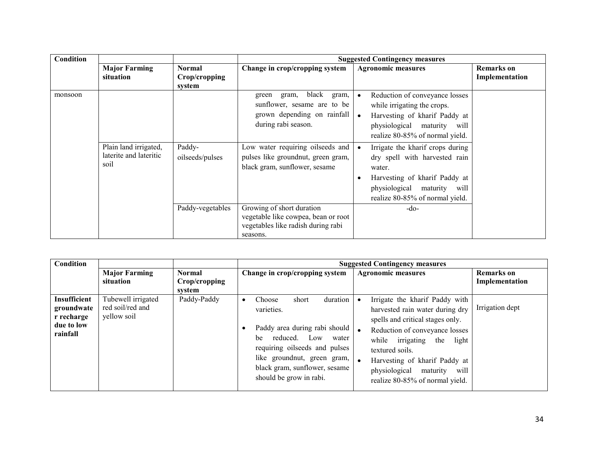| <b>Condition</b> |                                                         |                                          |                                                                                                                       | <b>Suggested Contingency measures</b>                                                                                                                                                       |                                     |
|------------------|---------------------------------------------------------|------------------------------------------|-----------------------------------------------------------------------------------------------------------------------|---------------------------------------------------------------------------------------------------------------------------------------------------------------------------------------------|-------------------------------------|
|                  | <b>Major Farming</b><br>situation                       | <b>Normal</b><br>Crop/cropping<br>system | Change in crop/cropping system                                                                                        | <b>Agronomic measures</b>                                                                                                                                                                   | <b>Remarks</b> on<br>Implementation |
| monsoon          |                                                         |                                          | black<br>gram,<br>gram,<br>green<br>sunflower, sesame are to be<br>grown depending on rainfall<br>during rabi season. | Reduction of conveyance losses<br>while irrigating the crops.<br>Harvesting of kharif Paddy at<br>physiological maturity will<br>realize 80-85% of normal yield.                            |                                     |
|                  | Plain land irrigated,<br>laterite and lateritic<br>soil | Paddy-<br>oilseeds/pulses                | Low water requiring oilseeds and<br>pulses like groundnut, green gram,<br>black gram, sunflower, sesame               | Irrigate the kharif crops during<br>dry spell with harvested rain<br>water.<br>Harvesting of kharif Paddy at<br>$\bullet$<br>physiological maturity will<br>realize 80-85% of normal yield. |                                     |
|                  |                                                         | Paddy-vegetables                         | Growing of short duration<br>vegetable like cowpea, bean or root<br>vegetables like radish during rabi<br>seasons.    | $-do-$                                                                                                                                                                                      |                                     |

| Condition                                                          |                                                       |                                | <b>Suggested Contingency measures</b>                                                                                                                                                                                                                                                                                                                                                                                                                                                                                                                    |                                     |  |
|--------------------------------------------------------------------|-------------------------------------------------------|--------------------------------|----------------------------------------------------------------------------------------------------------------------------------------------------------------------------------------------------------------------------------------------------------------------------------------------------------------------------------------------------------------------------------------------------------------------------------------------------------------------------------------------------------------------------------------------------------|-------------------------------------|--|
|                                                                    | <b>Major Farming</b><br>situation                     | <b>Normal</b><br>Crop/cropping | Change in crop/cropping system<br><b>Agronomic measures</b>                                                                                                                                                                                                                                                                                                                                                                                                                                                                                              | <b>Remarks</b> on<br>Implementation |  |
| Insufficient<br>groundwate<br>r recharge<br>due to low<br>rainfall | Tubewell irrigated<br>red soil/red and<br>yellow soil | svstem<br>Paddy-Paddy          | duration<br>Irrigate the kharif Paddy with<br>Choose<br>short<br>٠<br>varieties.<br>harvested rain water during dry<br>spells and critical stages only.<br>Paddy area during rabi should<br>Reduction of conveyance losses<br>reduced. Low<br>be<br>water<br>irrigating<br>while<br>light<br>the<br>requiring oilseeds and pulses<br>textured soils.<br>like groundnut, green gram,<br>Harvesting of kharif Paddy at<br>black gram, sunflower, sesame<br>physiological<br>will<br>maturity<br>should be grow in rabi.<br>realize 80-85% of normal yield. | Irrigation dept                     |  |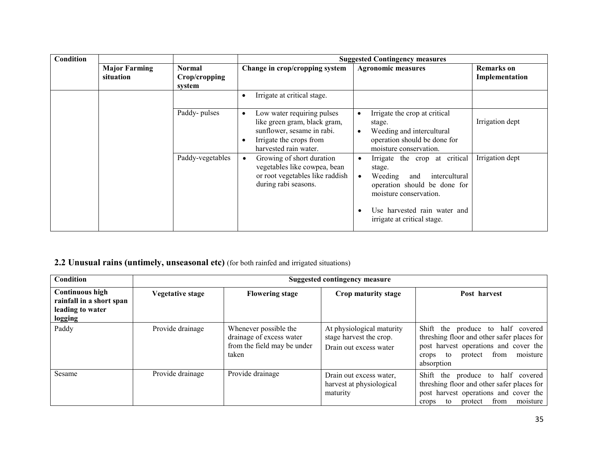| Condition |                                   |                                          |                                                                                                                                                           | <b>Suggested Contingency measures</b>                                                                                                                                                                            |                                     |
|-----------|-----------------------------------|------------------------------------------|-----------------------------------------------------------------------------------------------------------------------------------------------------------|------------------------------------------------------------------------------------------------------------------------------------------------------------------------------------------------------------------|-------------------------------------|
|           | <b>Major Farming</b><br>situation | <b>Normal</b><br>Crop/cropping<br>system | Change in crop/cropping system                                                                                                                            | <b>Agronomic measures</b>                                                                                                                                                                                        | <b>Remarks</b> on<br>Implementation |
|           |                                   |                                          | Irrigate at critical stage.                                                                                                                               |                                                                                                                                                                                                                  |                                     |
|           |                                   | Paddy-pulses                             | Low water requiring pulses<br>$\bullet$<br>like green gram, black gram,<br>sunflower, sesame in rabi.<br>Irrigate the crops from<br>harvested rain water. | Irrigate the crop at critical<br>$\bullet$<br>stage.<br>Weeding and intercultural<br>$\bullet$<br>operation should be done for<br>moisture conservation.                                                         | Irrigation dept                     |
|           |                                   | Paddy-vegetables                         | Growing of short duration<br>$\bullet$<br>vegetables like cowpea, bean<br>or root vegetables like raddish<br>during rabi seasons.                         | Irrigate the crop at critical<br>$\bullet$<br>stage.<br>Weeding<br>intercultural<br>and<br>operation should be done for<br>moisture conservation.<br>Use harvested rain water and<br>irrigate at critical stage. | Irrigation dept                     |

### 2.2 Unusual rains (untimely, unseasonal etc) (for both rainfed and irrigated situations)

| Condition                                                                         |                         | <b>Suggested contingency measure</b>                                                      |                                                                                |                                                                                                                                                                                      |  |
|-----------------------------------------------------------------------------------|-------------------------|-------------------------------------------------------------------------------------------|--------------------------------------------------------------------------------|--------------------------------------------------------------------------------------------------------------------------------------------------------------------------------------|--|
| <b>Continuous high</b><br>rainfall in a short span<br>leading to water<br>logging | <b>Vegetative stage</b> | <b>Flowering stage</b>                                                                    | Crop maturity stage                                                            | Post harvest                                                                                                                                                                         |  |
| Paddy                                                                             | Provide drainage        | Whenever possible the<br>drainage of excess water<br>from the field may be under<br>taken | At physiological maturity<br>stage harvest the crop.<br>Drain out excess water | Shift the produce to half covered<br>threshing floor and other safer places for<br>post harvest operations and cover the<br>from<br>moisture<br>protect<br>to<br>crops<br>absorption |  |
| Sesame                                                                            | Provide drainage        | Provide drainage                                                                          | Drain out excess water,<br>harvest at physiological<br>maturity                | Shift the produce to half covered<br>threshing floor and other safer places for<br>post harvest operations and cover the<br>from<br>moisture<br>protect<br>to<br>crops               |  |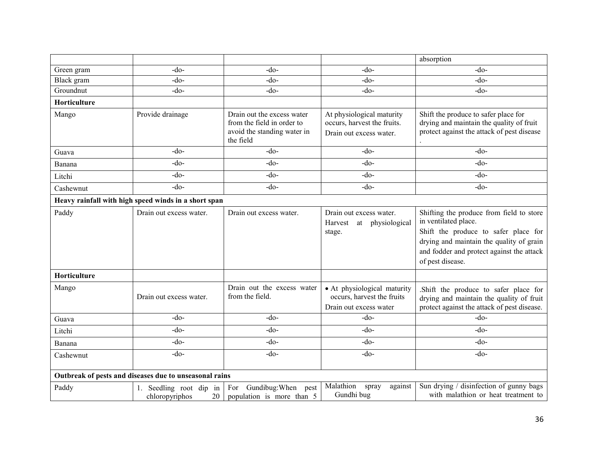|              |                                                        |                                                                                                      |                                                                                     | absorption                                                                                                                                                                                                            |
|--------------|--------------------------------------------------------|------------------------------------------------------------------------------------------------------|-------------------------------------------------------------------------------------|-----------------------------------------------------------------------------------------------------------------------------------------------------------------------------------------------------------------------|
| Green gram   | $-do$                                                  | $-do$                                                                                                | $-do$                                                                               | $-do-$                                                                                                                                                                                                                |
| Black gram   | $-do$                                                  | $-do$                                                                                                | $-do$                                                                               | $-do-$                                                                                                                                                                                                                |
| Groundnut    | $-do$                                                  | $-do-$                                                                                               | $-do$                                                                               | $-do-$                                                                                                                                                                                                                |
| Horticulture |                                                        |                                                                                                      |                                                                                     |                                                                                                                                                                                                                       |
| Mango        | Provide drainage                                       | Drain out the excess water<br>from the field in order to<br>avoid the standing water in<br>the field | At physiological maturity<br>occurs, harvest the fruits.<br>Drain out excess water. | Shift the produce to safer place for<br>drying and maintain the quality of fruit<br>protect against the attack of pest disease                                                                                        |
| Guava        | $-do$                                                  | $-do$                                                                                                | $-do$                                                                               | $-do$ -                                                                                                                                                                                                               |
| Banana       | $-do$                                                  | $-do-$                                                                                               | $-do-$                                                                              | $-do-$                                                                                                                                                                                                                |
| Litchi       | $-do$                                                  | $-do$                                                                                                | $-do-$                                                                              | $-do-$                                                                                                                                                                                                                |
| Cashewnut    | $-do$                                                  | $-do$                                                                                                | $-do$                                                                               | $-do-$                                                                                                                                                                                                                |
|              | Heavy rainfall with high speed winds in a short span   |                                                                                                      |                                                                                     |                                                                                                                                                                                                                       |
| Paddy        | Drain out excess water.                                | Drain out excess water.                                                                              | Drain out excess water.<br>Harvest<br>at physiological<br>stage.                    | Shifting the produce from field to store<br>in ventilated place.<br>Shift the produce to safer place for<br>drying and maintain the quality of grain<br>and fodder and protect against the attack<br>of pest disease. |
| Horticulture |                                                        |                                                                                                      |                                                                                     |                                                                                                                                                                                                                       |
| Mango        | Drain out excess water.                                | Drain out the excess water<br>from the field.                                                        | • At physiological maturity<br>occurs, harvest the fruits<br>Drain out excess water | Shift the produce to safer place for<br>drying and maintain the quality of fruit<br>protect against the attack of pest disease.                                                                                       |
| Guava        | $-do$                                                  | $-do$                                                                                                | -do-                                                                                | $-do$                                                                                                                                                                                                                 |
| Litchi       | $-do$                                                  | $-do-$                                                                                               | $-do$                                                                               | $-do-$                                                                                                                                                                                                                |
| Banana       | $-do-$                                                 | $-do-$                                                                                               | $-do$                                                                               | $-do-$                                                                                                                                                                                                                |
| Cashewnut    | $-do$                                                  | $-do$                                                                                                | $-do$                                                                               | $-do$                                                                                                                                                                                                                 |
|              | Outbreak of pests and diseases due to unseasonal rains |                                                                                                      |                                                                                     |                                                                                                                                                                                                                       |
| Paddy        | 1. Seedling root dip in<br>20<br>chloropyriphos        | For Gundibug: When<br>pest<br>population is more than 5                                              | Malathion<br>against<br>spray<br>Gundhi bug                                         | Sun drying / disinfection of gunny bags<br>with malathion or heat treatment to                                                                                                                                        |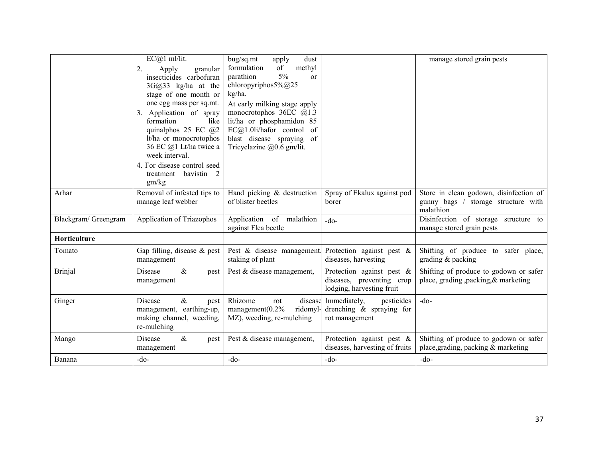|                      | $EC@1$ ml/lit.<br>2.<br>Apply<br>granular<br>insecticides carbofuran<br>3G@33 kg/ha at the<br>stage of one month or                                                                                                                    | bug/sq.mt<br>dust<br>apply<br>formulation<br>methyl<br>of<br>5%<br>parathion<br><sub>or</sub><br>chloropyriphos5% $@25$<br>kg/ha.                                                      |                                                                                        | manage stored grain pests                                                                  |
|----------------------|----------------------------------------------------------------------------------------------------------------------------------------------------------------------------------------------------------------------------------------|----------------------------------------------------------------------------------------------------------------------------------------------------------------------------------------|----------------------------------------------------------------------------------------|--------------------------------------------------------------------------------------------|
|                      | one egg mass per sq.mt.<br>3. Application of spray<br>formation<br>like<br>quinalphos 25 EC $@2$<br>lt/ha or monocrotophos<br>36 EC @1 Lt/ha twice a<br>week interval.<br>4. For disease control seed<br>treatment bavistin 2<br>gm/kg | At early milking stage apply<br>monocrotophos 36EC $@1.3$<br>lit/ha or phosphamidon 85<br>$EC(a)1.01i/hafor$ control<br>- of<br>blast disease spraying of<br>Tricyclazine @0.6 gm/lit. |                                                                                        |                                                                                            |
| Arhar                | Removal of infested tips to<br>manage leaf webber                                                                                                                                                                                      | Hand picking & destruction<br>of blister beetles                                                                                                                                       | Spray of Ekalux against pod<br>borer                                                   | Store in clean godown, disinfection of<br>gunny bags / storage structure with<br>malathion |
| Blackgram/ Greengram | Application of Triazophos                                                                                                                                                                                                              | Application of<br>malathion<br>against Flea beetle                                                                                                                                     | $-do-$                                                                                 | Disinfection of storage structure to<br>manage stored grain pests                          |
| Horticulture         |                                                                                                                                                                                                                                        |                                                                                                                                                                                        |                                                                                        |                                                                                            |
| Tomato               | Gap filling, disease $&$ pest<br>management                                                                                                                                                                                            | Pest & disease management,<br>staking of plant                                                                                                                                         | Protection against pest $\&$<br>diseases, harvesting                                   | Shifting of produce to safer place,<br>grading $&$ packing                                 |
| <b>Brinjal</b>       | $\&$<br>Disease<br>pest<br>management                                                                                                                                                                                                  | Pest & disease management,                                                                                                                                                             | Protection against pest $\&$<br>diseases, preventing crop<br>lodging, harvesting fruit | Shifting of produce to godown or safer<br>place, grading, packing, & marketing             |
| Ginger               | Disease<br>$\&$<br>pest<br>management, earthing-up,<br>making channel, weeding,<br>re-mulching                                                                                                                                         | Rhizome<br>disease<br>rot<br>mangement (0.2%<br>ridomyl-<br>MZ), weeding, re-mulching                                                                                                  | Immediately,<br>pesticides<br>drenching & spraying for<br>rot management               | $-do$ -                                                                                    |
| Mango                | Disease<br>$\&$<br>pest<br>management                                                                                                                                                                                                  | Pest & disease management,                                                                                                                                                             | Protection against pest $\&$<br>diseases, harvesting of fruits                         | Shifting of produce to godown or safer<br>place, grading, packing & marketing              |
| Banana               | $-do-$                                                                                                                                                                                                                                 | $-do-$                                                                                                                                                                                 | $-do$ -                                                                                | $-do$                                                                                      |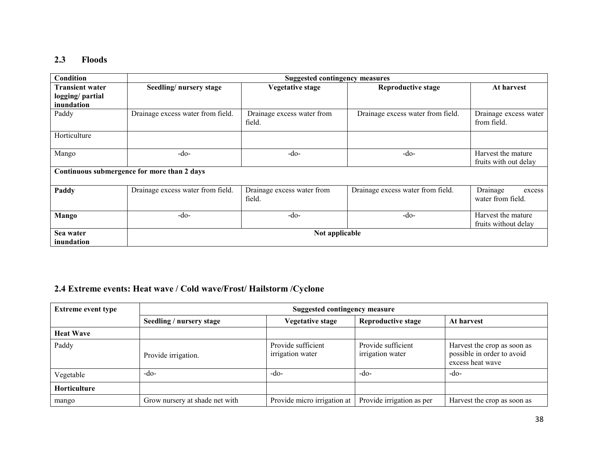#### 2.3 Floods

| Condition                                               |                                             | <b>Suggested contingency measures</b> |                                   |                                             |
|---------------------------------------------------------|---------------------------------------------|---------------------------------------|-----------------------------------|---------------------------------------------|
| <b>Transient water</b><br>logging/partial<br>inundation | Seedling/nursery stage                      | <b>Vegetative stage</b>               | <b>Reproductive stage</b>         | At harvest                                  |
| Paddy                                                   | Drainage excess water from field.           | Drainage excess water from<br>field.  | Drainage excess water from field. | Drainage excess water<br>from field.        |
| Horticulture                                            |                                             |                                       |                                   |                                             |
| Mango                                                   | $-do-$                                      | -do-                                  | $-do-$                            | Harvest the mature<br>fruits with out delay |
|                                                         | Continuous submergence for more than 2 days |                                       |                                   |                                             |
| Paddy                                                   | Drainage excess water from field.           | Drainage excess water from<br>field.  | Drainage excess water from field. | Drainage<br>excess<br>water from field.     |
| <b>Mango</b>                                            | $-do-$                                      | $-do-$                                | $-do-$                            | Harvest the mature<br>fruits without delay  |
| Sea water<br>inundation                                 |                                             | Not applicable                        |                                   |                                             |

### 2.4 Extreme events: Heat wave / Cold wave/Frost/ Hailstorm /Cyclone

| <b>Extreme event type</b> | <b>Suggested contingency measure</b> |                                        |                                        |                                                                               |  |
|---------------------------|--------------------------------------|----------------------------------------|----------------------------------------|-------------------------------------------------------------------------------|--|
|                           | Seedling / nursery stage             | Vegetative stage                       | <b>Reproductive stage</b>              | At harvest                                                                    |  |
| <b>Heat Wave</b>          |                                      |                                        |                                        |                                                                               |  |
| Paddy                     | Provide irrigation.                  | Provide sufficient<br>irrigation water | Provide sufficient<br>irrigation water | Harvest the crop as soon as<br>possible in order to avoid<br>excess heat wave |  |
| Vegetable                 | $-do-$                               | $-dO$                                  | $-do-$                                 | $-do-$                                                                        |  |
| Horticulture              |                                      |                                        |                                        |                                                                               |  |
| mango                     | Grow nursery at shade net with       | Provide micro irrigation at            | Provide irrigation as per              | Harvest the crop as soon as                                                   |  |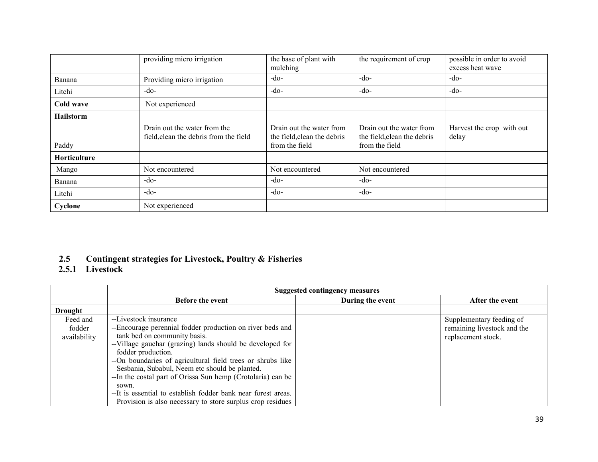|              | providing micro irrigation                                             | the base of plant with<br>mulching                                        | the requirement of crop                                                   | possible in order to avoid<br>excess heat wave |
|--------------|------------------------------------------------------------------------|---------------------------------------------------------------------------|---------------------------------------------------------------------------|------------------------------------------------|
| Banana       | Providing micro irrigation                                             | $-do-$                                                                    | -do-                                                                      | $-do-$                                         |
| Litchi       | $-do-$                                                                 | $-do-$                                                                    | -do-                                                                      | $-do-$                                         |
| Cold wave    | Not experienced                                                        |                                                                           |                                                                           |                                                |
| Hailstorm    |                                                                        |                                                                           |                                                                           |                                                |
| Paddy        | Drain out the water from the<br>field, clean the debris from the field | Drain out the water from<br>the field, clean the debris<br>from the field | Drain out the water from<br>the field, clean the debris<br>from the field | Harvest the crop with out<br>delay             |
| Horticulture |                                                                        |                                                                           |                                                                           |                                                |
| Mango        | Not encountered                                                        | Not encountered                                                           | Not encountered                                                           |                                                |
| Banana       | $-do-$                                                                 | $-do-$                                                                    | -do-                                                                      |                                                |
| Litchi       | $-do-$                                                                 | $-do-$                                                                    | $-do-$                                                                    |                                                |
| Cyclone      | Not experienced                                                        |                                                                           |                                                                           |                                                |

# 2.5 Contingent strategies for Livestock, Poultry & Fisheries 2.5.1 Livestock

|                                    | <b>Suggested contingency measures</b>                                                                                                                                                                                                                                                                                                                                                 |                  |                                                                               |  |  |
|------------------------------------|---------------------------------------------------------------------------------------------------------------------------------------------------------------------------------------------------------------------------------------------------------------------------------------------------------------------------------------------------------------------------------------|------------------|-------------------------------------------------------------------------------|--|--|
|                                    | <b>Before the event</b>                                                                                                                                                                                                                                                                                                                                                               | During the event | After the event                                                               |  |  |
| Drought                            |                                                                                                                                                                                                                                                                                                                                                                                       |                  |                                                                               |  |  |
| Feed and<br>fodder<br>availability | --Livestock insurance<br>--Encourage perennial fodder production on river beds and<br>tank bed on community basis.<br>--Village gauchar (grazing) lands should be developed for<br>fodder production.<br>-- On boundaries of agricultural field trees or shrubs like<br>Sesbania, Subabul, Neem etc should be planted.<br>--In the costal part of Orissa Sun hemp (Crotolaria) can be |                  | Supplementary feeding of<br>remaining livestock and the<br>replacement stock. |  |  |
|                                    | sown.<br>-- It is essential to establish fodder bank near forest areas.<br>Provision is also necessary to store surplus crop residues                                                                                                                                                                                                                                                 |                  |                                                                               |  |  |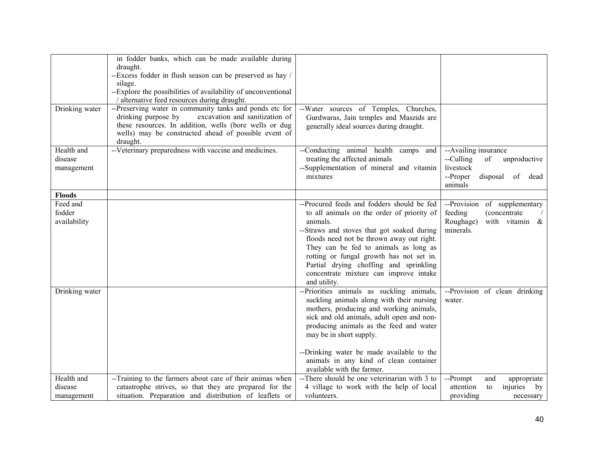|                | in fodder banks, which can be made available during           |                                              |                                   |
|----------------|---------------------------------------------------------------|----------------------------------------------|-----------------------------------|
|                | draught.                                                      |                                              |                                   |
|                | --Excess fodder in flush season can be preserved as hay /     |                                              |                                   |
|                | silage.                                                       |                                              |                                   |
|                | --Explore the possibilities of availability of unconventional |                                              |                                   |
|                | / alternative feed resources during draught.                  |                                              |                                   |
| Drinking water | --Preserving water in community tanks and ponds etc for       | --Water sources of Temples, Churches,        |                                   |
|                | drinking purpose by<br>excavation and sanitization of         | Gurdwaras, Jain temples and Maszids are      |                                   |
|                | these resources. In addition, wells (bore wells or dug        | generally ideal sources during draught.      |                                   |
|                | wells) may be constructed ahead of possible event of          |                                              |                                   |
|                | draught.                                                      |                                              |                                   |
| Health and     | --Veterinary preparedness with vaccine and medicines.         | --Conducting animal health camps and         | --Availing insurance              |
| disease        |                                                               | treating the affected animals                | --Culling<br>of<br>unproductive   |
| management     |                                                               | --Supplementation of mineral and vitamin     | livestock                         |
|                |                                                               | mixtures                                     | --Proper<br>disposal<br>of dead   |
|                |                                                               |                                              | animals                           |
| <b>Floods</b>  |                                                               |                                              |                                   |
| Feed and       |                                                               | --Procured feeds and fodders should be fed   | --Provision<br>of supplementary   |
| fodder         |                                                               | to all animals on the order of priority of   | feeding<br>(concentrate)          |
| availability   |                                                               | animals.                                     | Roughage)<br>with vitamin &       |
|                |                                                               | --Straws and stoves that got soaked during   | minerals.                         |
|                |                                                               | floods need not be thrown away out right.    |                                   |
|                |                                                               | They can be fed to animals as long as        |                                   |
|                |                                                               | rotting or fungal growth has not set in.     |                                   |
|                |                                                               | Partial drying choffing and sprinkling       |                                   |
|                |                                                               | concentrate mixture can improve intake       |                                   |
|                |                                                               | and utility.                                 |                                   |
| Drinking water |                                                               | --Priorities animals as suckling animals,    | --Provision of clean drinking     |
|                |                                                               | suckling animals along with their nursing    | water.                            |
|                |                                                               | mothers, producing and working animals,      |                                   |
|                |                                                               | sick and old animals, adult open and non-    |                                   |
|                |                                                               | producing animals as the feed and water      |                                   |
|                |                                                               | may be in short supply.                      |                                   |
|                |                                                               |                                              |                                   |
|                |                                                               | --Drinking water be made available to the    |                                   |
|                |                                                               | animals in any kind of clean container       |                                   |
|                |                                                               | available with the farmer.                   |                                   |
| Health and     | --Training to the farmers about care of their animas when     | --There should be one veterinarian with 3 to | --Prompt<br>and<br>appropriate    |
| disease        | catastrophe strives, so that they are prepared for the        | 4 village to work with the help of local     | injuries<br>attention<br>to<br>by |
| management     | situation. Preparation and distribution of leaflets or        | volunteers.                                  | providing<br>necessary            |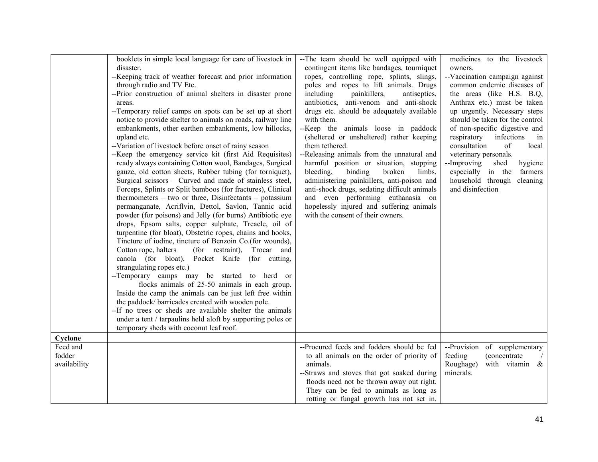|                                    | booklets in simple local language for care of livestock in<br>disaster.<br>-- Keeping track of weather forecast and prior information<br>through radio and TV Etc.<br>--Prior construction of animal shelters in disaster prone<br>areas.<br>--Temporary relief camps on spots can be set up at short<br>notice to provide shelter to animals on roads, railway line<br>embankments, other earthen embankments, low hillocks,<br>upland etc.<br>--Variation of livestock before onset of rainy season<br>--Keep the emergency service kit (first Aid Requisites)<br>ready always containing Cotton wool, Bandages, Surgical<br>gauze, old cotton sheets, Rubber tubing (for torniquet),<br>Surgical scissors – Curved and made of stainless steel,<br>Forceps, Splints or Split bamboos (for fractures), Clinical<br>thermometers $-$ two or three, Disinfectants $-$ potassium<br>permanganate, Acriflvin, Dettol, Savlon, Tannic acid<br>powder (for poisons) and Jelly (for burns) Antibiotic eye<br>drops, Epsom salts, copper sulphate, Treacle, oil of<br>turpentine (for bloat), Obstetric ropes, chains and hooks,<br>Tincture of iodine, tincture of Benzoin Co.(for wounds),<br>Cotton rope, halters<br>(for restraint),<br>Trocar and<br>canola (for bloat), Pocket Knife (for cutting,<br>strangulating ropes etc.)<br>--Temporary camps may be started to herd or<br>flocks animals of 25-50 animals in each group.<br>Inside the camp the animals can be just left free within<br>the paddock/ barricades created with wooden pole.<br>--If no trees or sheds are available shelter the animals<br>under a tent / tarpaulins held aloft by supporting poles or<br>temporary sheds with coconut leaf roof. | --The team should be well equipped with<br>contingent items like bandages, tourniquet<br>ropes, controlling rope, splints, slings,<br>poles and ropes to lift animals. Drugs<br>including<br>painkillers,<br>antiseptics,<br>antibiotics, anti-venom and anti-shock<br>drugs etc. should be adequately available<br>with them.<br>--Keep the animals loose in paddock<br>(sheltered or unsheltered) rather keeping<br>them tethered.<br>--Releasing animals from the unnatural and<br>harmful position or situation, stopping<br>bleeding.<br>binding<br>broken<br>limbs,<br>administering painkillers, anti-poison and<br>anti-shock drugs, sedating difficult animals<br>and even performing euthanasia on<br>hopelessly injured and suffering animals<br>with the consent of their owners. | medicines to the livestock<br>owners.<br>--Vaccination campaign against<br>common endemic diseases of<br>the areas (like H.S. B.Q.<br>Anthrax etc.) must be taken<br>up urgently. Necessary steps<br>should be taken for the control<br>of non-specific digestive and<br>infections<br>respiratory<br>in<br>consultation<br>of<br>local<br>veterinary personals.<br>--Improving<br>hygiene<br>shed<br>especially in the<br>farmers<br>household through<br>cleaning<br>and disinfection |
|------------------------------------|-------------------------------------------------------------------------------------------------------------------------------------------------------------------------------------------------------------------------------------------------------------------------------------------------------------------------------------------------------------------------------------------------------------------------------------------------------------------------------------------------------------------------------------------------------------------------------------------------------------------------------------------------------------------------------------------------------------------------------------------------------------------------------------------------------------------------------------------------------------------------------------------------------------------------------------------------------------------------------------------------------------------------------------------------------------------------------------------------------------------------------------------------------------------------------------------------------------------------------------------------------------------------------------------------------------------------------------------------------------------------------------------------------------------------------------------------------------------------------------------------------------------------------------------------------------------------------------------------------------------------------------------------------------------------------------------------------------------------|-----------------------------------------------------------------------------------------------------------------------------------------------------------------------------------------------------------------------------------------------------------------------------------------------------------------------------------------------------------------------------------------------------------------------------------------------------------------------------------------------------------------------------------------------------------------------------------------------------------------------------------------------------------------------------------------------------------------------------------------------------------------------------------------------|-----------------------------------------------------------------------------------------------------------------------------------------------------------------------------------------------------------------------------------------------------------------------------------------------------------------------------------------------------------------------------------------------------------------------------------------------------------------------------------------|
| Cyclone                            |                                                                                                                                                                                                                                                                                                                                                                                                                                                                                                                                                                                                                                                                                                                                                                                                                                                                                                                                                                                                                                                                                                                                                                                                                                                                                                                                                                                                                                                                                                                                                                                                                                                                                                                         |                                                                                                                                                                                                                                                                                                                                                                                                                                                                                                                                                                                                                                                                                                                                                                                               |                                                                                                                                                                                                                                                                                                                                                                                                                                                                                         |
| Feed and<br>fodder<br>availability |                                                                                                                                                                                                                                                                                                                                                                                                                                                                                                                                                                                                                                                                                                                                                                                                                                                                                                                                                                                                                                                                                                                                                                                                                                                                                                                                                                                                                                                                                                                                                                                                                                                                                                                         | --Procured feeds and fodders should be fed<br>to all animals on the order of priority of<br>animals.<br>--Straws and stoves that got soaked during<br>floods need not be thrown away out right.<br>They can be fed to animals as long as<br>rotting or fungal growth has not set in.                                                                                                                                                                                                                                                                                                                                                                                                                                                                                                          | --Provision of supplementary<br>feeding<br><i>(concentrate)</i><br>Roughage)<br>with vitamin &<br>minerals.                                                                                                                                                                                                                                                                                                                                                                             |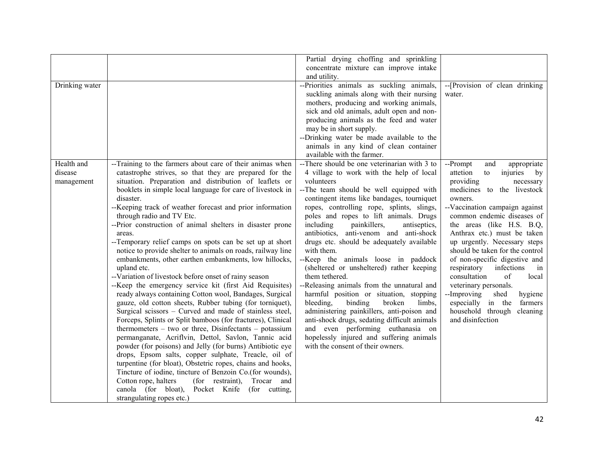|                |                                                             | Partial drying choffing and sprinkling       |                                  |
|----------------|-------------------------------------------------------------|----------------------------------------------|----------------------------------|
|                |                                                             | concentrate mixture can improve intake       |                                  |
|                |                                                             | and utility.                                 |                                  |
| Drinking water |                                                             | --Priorities animals as suckling animals,    | --[Provision of clean drinking   |
|                |                                                             | suckling animals along with their nursing    | water.                           |
|                |                                                             | mothers, producing and working animals,      |                                  |
|                |                                                             | sick and old animals, adult open and non-    |                                  |
|                |                                                             | producing animals as the feed and water      |                                  |
|                |                                                             | may be in short supply.                      |                                  |
|                |                                                             | --Drinking water be made available to the    |                                  |
|                |                                                             | animals in any kind of clean container       |                                  |
|                |                                                             | available with the farmer.                   |                                  |
| Health and     | --Training to the farmers about care of their animas when   | --There should be one veterinarian with 3 to | --Prompt<br>and<br>appropriate   |
| disease        | catastrophe strives, so that they are prepared for the      | 4 village to work with the help of local     | injuries<br>attetion<br>to<br>by |
| management     | situation. Preparation and distribution of leaflets or      | volunteers                                   | providing<br>necessary           |
|                | booklets in simple local language for care of livestock in  | --The team should be well equipped with      | medicines to<br>the livestock    |
|                | disaster.                                                   | contingent items like bandages, tourniquet   | owners.                          |
|                | --Keeping track of weather forecast and prior information   | ropes, controlling rope, splints, slings,    | --Vaccination campaign against   |
|                | through radio and TV Etc.                                   | poles and ropes to lift animals. Drugs       | common endemic diseases of       |
|                | --Prior construction of animal shelters in disaster prone   | including<br>painkillers,<br>antiseptics,    | the areas (like H.S. B.Q,        |
|                | areas.                                                      | antibiotics, anti-venom and anti-shock       | Anthrax etc.) must be taken      |
|                | --Temporary relief camps on spots can be set up at short    | drugs etc. should be adequately available    | up urgently. Necessary steps     |
|                | notice to provide shelter to animals on roads, railway line | with them.                                   | should be taken for the control  |
|                | embankments, other earthen embankments, low hillocks,       | --Keep the animals loose in paddock          | of non-specific digestive and    |
|                | upland etc.                                                 | (sheltered or unsheltered) rather keeping    | respiratory<br>infections<br>in  |
|                | --Variation of livestock before onset of rainy season       | them tethered.                               | consultation<br>of<br>local      |
|                | --Keep the emergency service kit (first Aid Requisites)     | --Releasing animals from the unnatural and   | veterinary personals.            |
|                | ready always containing Cotton wool, Bandages, Surgical     | harmful position or situation, stopping      | --Improving<br>shed<br>hygiene   |
|                | gauze, old cotton sheets, Rubber tubing (for torniquet),    | bleeding,<br>binding<br>limbs,<br>broken     | especially in the<br>farmers     |
|                | Surgical scissors - Curved and made of stainless steel,     | administering painkillers, anti-poison and   | household through<br>cleaning    |
|                | Forceps, Splints or Split bamboos (for fractures), Clinical | anti-shock drugs, sedating difficult animals | and disinfection                 |
|                | thermometers $-$ two or three, Disinfectants $-$ potassium  | and even performing euthanasia on            |                                  |
|                | permanganate, Acriflvin, Dettol, Savlon, Tannic acid        | hopelessly injured and suffering animals     |                                  |
|                | powder (for poisons) and Jelly (for burns) Antibiotic eye   | with the consent of their owners.            |                                  |
|                | drops, Epsom salts, copper sulphate, Treacle, oil of        |                                              |                                  |
|                | turpentine (for bloat), Obstetric ropes, chains and hooks,  |                                              |                                  |
|                | Tincture of iodine, tincture of Benzoin Co.(for wounds),    |                                              |                                  |
|                | Cotton rope, halters<br>(for restraint),<br>Trocar and      |                                              |                                  |
|                | canola (for bloat), Pocket Knife (for cutting,              |                                              |                                  |
|                | strangulating ropes etc.)                                   |                                              |                                  |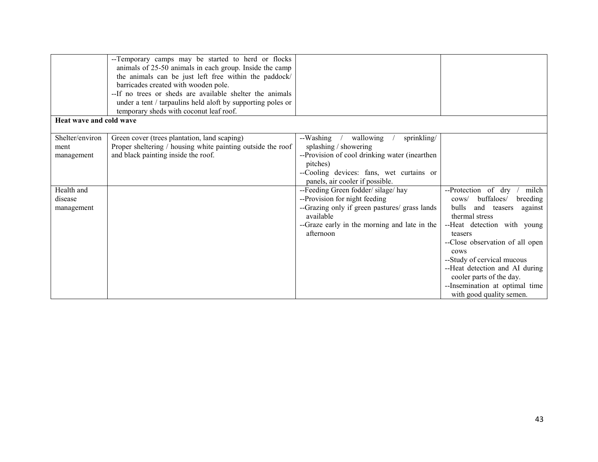|                                       | --Temporary camps may be started to herd or flocks<br>animals of 25-50 animals in each group. Inside the camp<br>the animals can be just left free within the paddock/<br>barricades created with wooden pole.<br>--If no trees or sheds are available shelter the animals<br>under a tent / tarpaulins held aloft by supporting poles or<br>temporary sheds with coconut leaf roof. |                                                                                                                                                                                                            |                                                                                                                                                                                                                                                                                                                                                                              |
|---------------------------------------|--------------------------------------------------------------------------------------------------------------------------------------------------------------------------------------------------------------------------------------------------------------------------------------------------------------------------------------------------------------------------------------|------------------------------------------------------------------------------------------------------------------------------------------------------------------------------------------------------------|------------------------------------------------------------------------------------------------------------------------------------------------------------------------------------------------------------------------------------------------------------------------------------------------------------------------------------------------------------------------------|
| Heat wave and cold wave               |                                                                                                                                                                                                                                                                                                                                                                                      |                                                                                                                                                                                                            |                                                                                                                                                                                                                                                                                                                                                                              |
| Shelter/environ<br>ment<br>management | Green cover (trees plantation, land scaping)<br>Proper sheltering / housing white painting outside the roof<br>and black painting inside the roof.                                                                                                                                                                                                                                   | wallowing<br>sprinkling/<br>--Washing<br>splashing / showering<br>--Provision of cool drinking water (inearthen<br>pitches)<br>--Cooling devices: fans, wet curtains or<br>panels, air cooler if possible. |                                                                                                                                                                                                                                                                                                                                                                              |
| Health and<br>disease<br>management   |                                                                                                                                                                                                                                                                                                                                                                                      | --Feeding Green fodder/ silage/ hay<br>--Provision for night feeding<br>--Grazing only if green pastures/ grass lands<br>available<br>--Graze early in the morning and late in the<br>afternoon            | --Protection of dry<br>milch<br>buffaloes/<br>breeding<br>$\text{cows}/$<br>bulls<br>and teasers<br>against<br>thermal stress<br>--Heat detection with young<br>teasers<br>--Close observation of all open<br>cows<br>--Study of cervical mucous<br>--Heat detection and AI during<br>cooler parts of the day.<br>--Insemination at optimal time<br>with good quality semen. |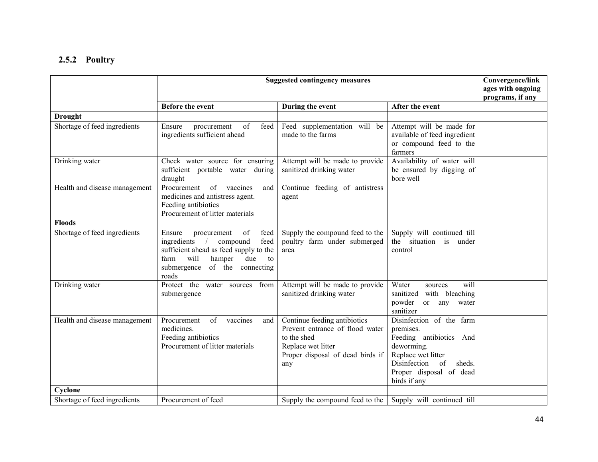### 2.5.2 Poultry

|                               | <b>Suggested contingency measures</b>                                                                                                                                                                |                                                                                                                                                 |                                                                                                                                                                              | Convergence/link<br>ages with ongoing<br>programs, if any |
|-------------------------------|------------------------------------------------------------------------------------------------------------------------------------------------------------------------------------------------------|-------------------------------------------------------------------------------------------------------------------------------------------------|------------------------------------------------------------------------------------------------------------------------------------------------------------------------------|-----------------------------------------------------------|
|                               | <b>Before the event</b>                                                                                                                                                                              | During the event                                                                                                                                | After the event                                                                                                                                                              |                                                           |
| <b>Drought</b>                |                                                                                                                                                                                                      |                                                                                                                                                 |                                                                                                                                                                              |                                                           |
| Shortage of feed ingredients  | of<br>feed<br>Ensure<br>procurement<br>ingredients sufficient ahead                                                                                                                                  | Feed supplementation will be<br>made to the farms                                                                                               | Attempt will be made for<br>available of feed ingredient<br>or compound feed to the<br>farmers                                                                               |                                                           |
| Drinking water                | Check water source for ensuring<br>sufficient portable water during<br>draught                                                                                                                       | Attempt will be made to provide<br>sanitized drinking water                                                                                     | Availability of water will<br>be ensured by digging of<br>bore well                                                                                                          |                                                           |
| Health and disease management | of<br>Procurement<br>vaccines<br>and<br>medicines and antistress agent.<br>Feeding antibiotics<br>Procurement of litter materials                                                                    | Continue feeding of antistress<br>agent                                                                                                         |                                                                                                                                                                              |                                                           |
| <b>Floods</b>                 |                                                                                                                                                                                                      |                                                                                                                                                 |                                                                                                                                                                              |                                                           |
| Shortage of feed ingredients  | of<br>feed<br>Ensure<br>procurement<br>ingredients<br>feed<br>compound<br>sufficient ahead as feed supply to the<br>will<br>farm<br>hamper<br>due<br>to<br>submergence<br>of the connecting<br>roads | Supply the compound feed to the<br>poultry farm under submerged<br>area                                                                         | Supply will continued till<br>the situation is<br>under<br>control                                                                                                           |                                                           |
| Drinking water                | Protect the water sources from<br>submergence                                                                                                                                                        | Attempt will be made to provide<br>sanitized drinking water                                                                                     | Water<br>will<br>sources<br>sanitized<br>with bleaching<br>powder<br><sub>or</sub><br>any water<br>sanitizer                                                                 |                                                           |
| Health and disease management | Procurement<br>of<br>vaccines<br>and<br>medicines.<br>Feeding antibiotics<br>Procurement of litter materials                                                                                         | Continue feeding antibiotics<br>Prevent entrance of flood water<br>to the shed<br>Replace wet litter<br>Proper disposal of dead birds if<br>any | Disinfection of the farm<br>premises.<br>Feeding antibiotics And<br>deworming.<br>Replace wet litter<br>Disinfection of<br>sheds.<br>Proper disposal of dead<br>birds if any |                                                           |
| Cyclone                       |                                                                                                                                                                                                      |                                                                                                                                                 |                                                                                                                                                                              |                                                           |
| Shortage of feed ingredients  | Procurement of feed                                                                                                                                                                                  | Supply the compound feed to the                                                                                                                 | Supply will continued till                                                                                                                                                   |                                                           |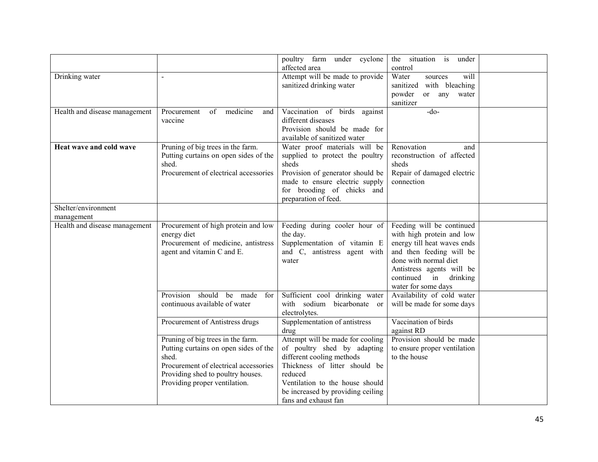|                                   |                                                                                                                                                                                                    | poultry farm under cyclone<br>affected area                                                                                                                                                                                              | the situation is<br>under<br>control                                                                                                                                                                                       |  |
|-----------------------------------|----------------------------------------------------------------------------------------------------------------------------------------------------------------------------------------------------|------------------------------------------------------------------------------------------------------------------------------------------------------------------------------------------------------------------------------------------|----------------------------------------------------------------------------------------------------------------------------------------------------------------------------------------------------------------------------|--|
| Drinking water                    |                                                                                                                                                                                                    | Attempt will be made to provide<br>sanitized drinking water                                                                                                                                                                              | Water<br>will<br>sources<br>sanitized with bleaching                                                                                                                                                                       |  |
|                                   |                                                                                                                                                                                                    |                                                                                                                                                                                                                                          | or any water<br>powder<br>sanitizer                                                                                                                                                                                        |  |
| Health and disease management     | of medicine<br>Procurement<br>and<br>vaccine                                                                                                                                                       | Vaccination of birds against<br>different diseases<br>Provision should be made for<br>available of sanitized water                                                                                                                       | $-do-$                                                                                                                                                                                                                     |  |
| Heat wave and cold wave           | Pruning of big trees in the farm.<br>Putting curtains on open sides of the<br>shed.<br>Procurement of electrical accessories                                                                       | Water proof materials will be<br>supplied to protect the poultry<br>sheds<br>Provision of generator should be<br>made to ensure electric supply<br>for brooding of chicks and<br>preparation of feed.                                    | Renovation<br>and<br>reconstruction of affected<br>sheds<br>Repair of damaged electric<br>connection                                                                                                                       |  |
| Shelter/environment<br>management |                                                                                                                                                                                                    |                                                                                                                                                                                                                                          |                                                                                                                                                                                                                            |  |
| Health and disease management     | Procurement of high protein and low<br>energy diet<br>Procurement of medicine, antistress<br>agent and vitamin C and E.                                                                            | Feeding during cooler hour of<br>the day.<br>Supplementation of vitamin E<br>and C, antistress agent with<br>water                                                                                                                       | Feeding will be continued<br>with high protein and low<br>energy till heat waves ends<br>and then feeding will be<br>done with normal diet<br>Antistress agents will be<br>continued<br>in drinking<br>water for some days |  |
|                                   | Provision should<br>be<br>made for<br>continuous available of water                                                                                                                                | Sufficient cool drinking water<br>with sodium bicarbonate or<br>electrolytes.                                                                                                                                                            | Availability of cold water<br>will be made for some days                                                                                                                                                                   |  |
|                                   | Procurement of Antistress drugs                                                                                                                                                                    | Supplementation of antistress<br>drug                                                                                                                                                                                                    | Vaccination of birds<br>against RD                                                                                                                                                                                         |  |
|                                   | Pruning of big trees in the farm.<br>Putting curtains on open sides of the<br>shed.<br>Procurement of electrical accessories<br>Providing shed to poultry houses.<br>Providing proper ventilation. | Attempt will be made for cooling<br>of poultry shed by adapting<br>different cooling methods<br>Thickness of litter should be<br>reduced<br>Ventilation to the house should<br>be increased by providing ceiling<br>fans and exhaust fan | Provision should be made<br>to ensure proper ventilation<br>to the house                                                                                                                                                   |  |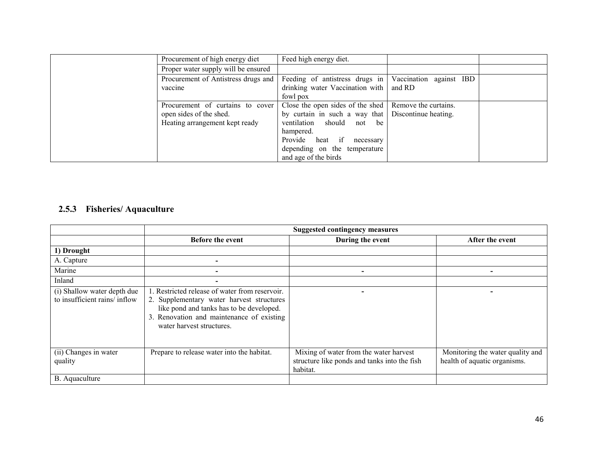| Procurement of high energy diet                                                               | Feed high energy diet.                                                                                                                                                                                    |                                              |  |
|-----------------------------------------------------------------------------------------------|-----------------------------------------------------------------------------------------------------------------------------------------------------------------------------------------------------------|----------------------------------------------|--|
| Proper water supply will be ensured                                                           |                                                                                                                                                                                                           |                                              |  |
| Procurement of Antistress drugs and<br>vaccine                                                | Feeding of antistress drugs in<br>drinking water Vaccination with<br>fowl pox                                                                                                                             | Vaccination against IBD<br>and RD            |  |
| Procurement of curtains to cover<br>open sides of the shed.<br>Heating arrangement kept ready | Close the open sides of the shed<br>by curtain in such a way that<br>ventilation should<br>not<br>be<br>hampered.<br>Provide heat if<br>necessary<br>depending on the temperature<br>and age of the birds | Remove the curtains.<br>Discontinue heating. |  |

#### 2.5.3 Fisheries/ Aquaculture

|                                                              | <b>Suggested contingency measures</b>                                                                                                                                                                             |                                                                                                    |                                                                  |
|--------------------------------------------------------------|-------------------------------------------------------------------------------------------------------------------------------------------------------------------------------------------------------------------|----------------------------------------------------------------------------------------------------|------------------------------------------------------------------|
|                                                              | Before the event                                                                                                                                                                                                  | During the event                                                                                   | After the event                                                  |
| 1) Drought                                                   |                                                                                                                                                                                                                   |                                                                                                    |                                                                  |
| A. Capture                                                   |                                                                                                                                                                                                                   |                                                                                                    |                                                                  |
| Marine                                                       |                                                                                                                                                                                                                   |                                                                                                    |                                                                  |
| Inland                                                       | $\overline{\phantom{a}}$                                                                                                                                                                                          |                                                                                                    |                                                                  |
| (i) Shallow water depth due<br>to insufficient rains/ inflow | 1. Restricted release of water from reservoir.<br>2. Supplementary water harvest structures<br>like pond and tanks has to be developed.<br>3. Renovation and maintenance of existing<br>water harvest structures. |                                                                                                    |                                                                  |
| (ii) Changes in water<br>quality                             | Prepare to release water into the habitat.                                                                                                                                                                        | Mixing of water from the water harvest<br>structure like ponds and tanks into the fish<br>habitat. | Monitoring the water quality and<br>health of aquatic organisms. |
| B. Aquaculture                                               |                                                                                                                                                                                                                   |                                                                                                    |                                                                  |